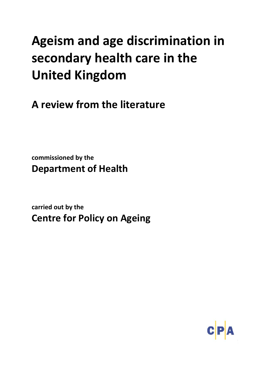# **Ageism and age discrimination in secondary health care in the United Kingdom**

**A review from the literature**

**commissioned by the Department of Health** 

**carried out by the Centre for Policy on Ageing**

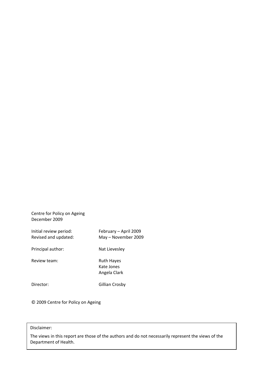Centre for Policy on Ageing December 2009

Initial review period: February – April 2009 Revised and updated: May – November 2009 Principal author: Nat Lievesley Review team: Ruth Hayes Kate Jones Angela Clark Director: Gillian Crosby

© 2009 Centre for Policy on Ageing

# Disclaimer:

The views in this report are those of the authors and do not necessarily represent the views of the Department of Health.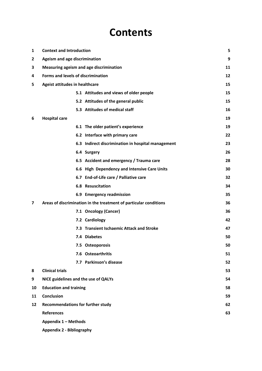# **Contents**

| 1  | <b>Context and Introduction</b>          |                                                                   | 5  |
|----|------------------------------------------|-------------------------------------------------------------------|----|
| 2  | Ageism and age discrimination            |                                                                   | 9  |
| 3  |                                          | Measuring ageism and age discrimination                           | 11 |
| 4  | Forms and levels of discrimination       |                                                                   | 12 |
| 5  | Ageist attitudes in healthcare           |                                                                   | 15 |
|    |                                          | 5.1 Attitudes and views of older people                           | 15 |
|    |                                          | 5.2 Attitudes of the general public                               | 15 |
|    |                                          | 5.3 Attitudes of medical staff                                    | 16 |
| 6  | <b>Hospital care</b>                     |                                                                   | 19 |
|    |                                          | 6.1 The older patient's experience                                | 19 |
|    |                                          | 6.2 Interface with primary care                                   | 22 |
|    |                                          | 6.3 Indirect discrimination in hospital management                | 23 |
|    |                                          | 6.4 Surgery                                                       | 26 |
|    |                                          | 6.5 Accident and emergency / Trauma care                          | 28 |
|    |                                          | 6.6 High Dependency and Intensive Care Units                      | 30 |
|    |                                          | 6.7 End-of-Life care / Palliative care                            | 32 |
|    |                                          | <b>6.8 Resuscitation</b>                                          | 34 |
|    |                                          | 6.9 Emergency readmission                                         | 35 |
| 7  |                                          | Areas of discrimination in the treatment of particular conditions | 36 |
|    |                                          | 7.1 Oncology (Cancer)                                             | 36 |
|    |                                          | 7.2 Cardiology                                                    | 42 |
|    |                                          | 7.3 Transient Ischaemic Attack and Stroke                         | 47 |
|    |                                          | 7.4 Diabetes                                                      | 50 |
|    |                                          | 7.5 Osteoporosis                                                  | 50 |
|    |                                          | 7.6 Osteoarthritis                                                | 51 |
|    |                                          | 7.7 Parkinson's disease                                           | 52 |
| 8  | <b>Clinical trials</b>                   |                                                                   | 53 |
| 9  | NICE guidelines and the use of QALYs     |                                                                   | 54 |
| 10 | <b>Education and training</b>            |                                                                   | 58 |
| 11 | <b>Conclusion</b>                        |                                                                   | 59 |
| 12 | <b>Recommendations for further study</b> |                                                                   | 62 |
|    | <b>References</b>                        |                                                                   | 63 |
|    | Appendix 1 - Methods                     |                                                                   |    |
|    | <b>Appendix 2 - Bibliography</b>         |                                                                   |    |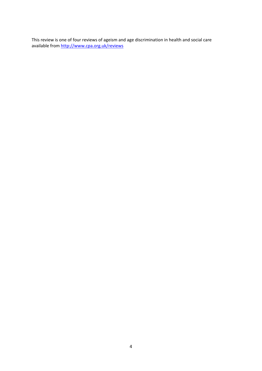This review is one of four reviews of ageism and age discrimination in health and social care available from http://www.cpa.org.uk/reviews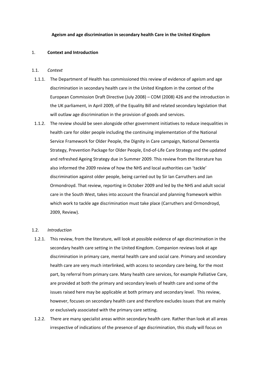#### **Ageism and age discrimination in secondary health Care in the United Kingdom**

#### 1. **Context and Introduction**

#### 1.1. *Context*

- 1.1.1. The Department of Health has commissioned this review of evidence of ageism and age discrimination in secondary health care in the United Kingdom in the context of the European Commission Draft Directive (July 2008) – COM (2008) 426 and the introduction in the UK parliament, in April 2009, of the Equality Bill and related secondary legislation that will outlaw age discrimination in the provision of goods and services.
- 1.1.2. The review should be seen alongside other government initiatives to reduce inequalities in health care for older people including the continuing implementation of the National Service Framework for Older People, the Dignity in Care campaign, National Dementia Strategy, Prevention Package for Older People, End‐of‐Life Care Strategy and the updated and refreshed Ageing Strategy due in Summer 2009. This review from the literature has also informed the 2009 review of how the NHS and local authorities can 'tackle' discrimination against older people, being carried out by Sir Ian Carruthers and Jan Ormondroyd. That review, reporting in October 2009 and led by the NHS and adult social care in the South West, takes into account the financial and planning framework within which work to tackle age discrimination must take place (Carruthers and Ormondroyd, 2009, Review).

#### 1.2. *Introduction*

- 1.2.1. This review, from the literature, will look at possible evidence of age discrimination in the secondary health care setting in the United Kingdom. Companion reviews look at age discrimination in primary care, mental health care and social care. Primary and secondary health care are very much interlinked, with access to secondary care being, for the most part, by referral from primary care. Many health care services, for example Palliative Care, are provided at both the primary and secondary levels of health care and some of the issues raised here may be applicable at both primary and secondary level. This review, however, focuses on secondary health care and therefore excludes issues that are mainly or exclusively associated with the primary care setting.
- 1.2.2. There are many specialist areas within secondary health care. Rather than look at all areas irrespective of indications of the presence of age discrimination, this study will focus on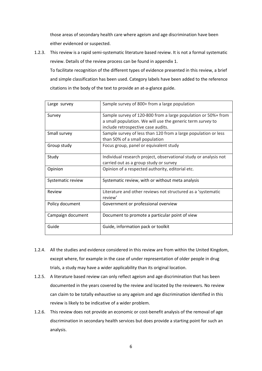those areas of secondary health care where ageism and age discrimination have been either evidenced or suspected.

1.2.3. This review is a rapid semi‐systematic literature based review. It is not a formal systematic review. Details of the review process can be found in appendix 1.

To facilitate recognition of the different types of evidence presented in this review, a brief and simple classification has been used. Category labels have been added to the reference citations in the body of the text to provide an at‐a‐glance guide.

| Large survey      | Sample survey of 800+ from a large population                                                                                                                     |
|-------------------|-------------------------------------------------------------------------------------------------------------------------------------------------------------------|
| Survey            | Sample survey of 120-800 from a large population or 50%+ from<br>a small population. We will use the generic term survey to<br>include retrospective case audits. |
| Small survey      | Sample survey of less than 120 from a large population or less<br>than 50% of a small population                                                                  |
| Group study       | Focus group, panel or equivalent study                                                                                                                            |
| Study             | Individual research project, observational study or analysis not<br>carried out as a group study or survey                                                        |
| Opinion           | Opinion of a respected authority, editorial etc.                                                                                                                  |
| Systematic review | Systematic review, with or without meta analysis                                                                                                                  |
| Review            | Literature and other reviews not structured as a 'systematic<br>review'                                                                                           |
| Policy document   | Government or professional overview                                                                                                                               |
| Campaign document | Document to promote a particular point of view                                                                                                                    |
| Guide             | Guide, information pack or toolkit                                                                                                                                |

- 1.2.4. All the studies and evidence considered in this review are from within the United Kingdom, except where, for example in the case of under representation of older people in drug trials, a study may have a wider applicability than its original location.
- 1.2.5. A literature based review can only reflect ageism and age discrimination that has been documented in the years covered by the review and located by the reviewers. No review can claim to be totally exhaustive so any ageism and age discrimination identified in this review is likely to be indicative of a wider problem.
- 1.2.6. This review does not provide an economic or cost-benefit analysis of the removal of age discrimination in secondary health services but does provide a starting point for such an analysis.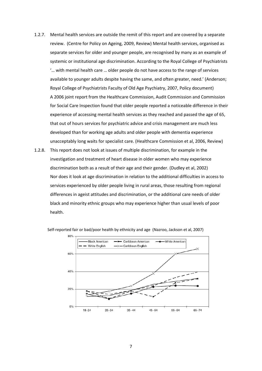- 1.2.7. Mental health services are outside the remit of this report and are covered by a separate review. (Centre for Policy on Ageing, 2009, Review) Mental health services, organised as separate services for older and younger people, are recognised by many as an example of systemic or institutional age discrimination. According to the Royal College of Psychiatrists '… with mental health care … older people do not have access to the range of services available to younger adults despite having the same, and often greater, need.' (Anderson; Royal College of Psychiatrists Faculty of Old Age Psychiatry, 2007, Policy document) A 2006 joint report from the Healthcare Commission, Audit Commission and Commission for Social Care Inspection found that older people reported a noticeable difference in their experience of accessing mental health services as they reached and passed the age of 65, that out of hours services for psychiatric advice and crisis management are much less developed than for working age adults and older people with dementia experience unacceptably long waits for specialist care. (Healthcare Commission et al, 2006, Review)
- 1.2.8. This report does not look at issues of multiple discrimination, for example in the investigation and treatment of heart disease in older women who may experience discrimination both as a result of their age and their gender. (Dudley et al, 2002) Nor does it look at age discrimination in relation to the additional difficulties in access to services experienced by older people living in rural areas, those resulting from regional differences in ageist attitudes and discrimination, or the additional care needs of older black and minority ethnic groups who may experience higher than usual levels of poor health.



Self-reported fair or bad/poor health by ethnicity and age (Nazroo, Jackson et al, 2007)

7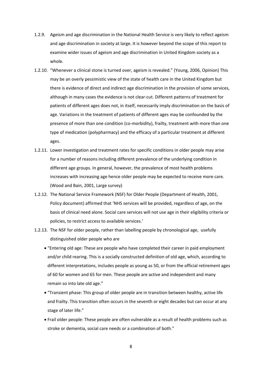- 1.2.9. Ageism and age discrimination in the National Health Service is very likely to reflect ageism and age discrimination in society at large. It is however beyond the scope of this report to examine wider issues of ageism and age discrimination in United Kingdom society as a whole.
- 1.2.10. "Whenever a clinical stone is turned over, ageism is revealed." (Young, 2006, Opinion) This may be an overly pessimistic view of the state of health care in the United Kingdom but there is evidence of direct and indirect age discrimination in the provision of some services, although in many cases the evidence is not clear‐cut. Different patterns of treatment for patients of different ages does not, in itself, necessarily imply discrimination on the basis of age. Variations in the treatment of patients of different ages may be confounded by the presence of more than one condition (co-morbidity), frailty, treatment with more than one type of medication (polypharmacy) and the efficacy of a particular treatment at different ages.
- 1.2.11. Lower investigation and treatment rates for specific conditions in older people may arise for a number of reasons including different prevalence of the underlying condition in different age groups. In general, however, the prevalence of most health problems increases with increasing age hence older people may be expected to receive more care. (Wood and Bain, 2001, Large survey)
- 1.2.12. The National Service Framework (NSF) for Older People (Department of Health, 2001, Policy document) affirmed that 'NHS services will be provided, regardless of age, on the basis of clinical need alone. Social care services will not use age in their eligibility criteria or policies, to restrict access to available services.'
- 1.2.13. The NSF for older people, rather than labelling people by chronological age, usefully distinguished older people who are
	- "Entering old age: These are people who have completed their career in paid employment and/or child rearing. This is a socially constructed definition of old age, which, according to different interpretations, includes people as young as 50, or from the official retirement ages of 60 for women and 65 for men. These people are active and independent and many remain so into late old age."
	- "Transient phase: This group of older people are in transition between healthy, active life and frailty. This transition often occurs in the seventh or eight decades but can occur at any stage of later life."
	- Frail older people: These people are often vulnerable as a result of health problems such as stroke or dementia, social care needs or a combination of both."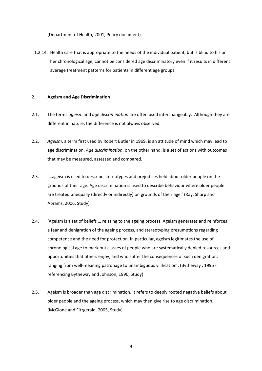(Department of Health, 2001, Policy document)

1.2.14. Health care that is appropriate to the needs of the individual patient, but is blind to his or her chronological age, cannot be considered age discriminatory even if it results in different average treatment patterns for patients in different age groups.

#### 2. **Ageism and Age Discrimination**

- 2.1. The terms *ageism* and *age discrimination* are often used interchangeably. Although they are different in nature, the difference is not always observed.
- 2.2. *Ageism*, a term first used by Robert Butler in 1969, is an attitude of mind which may lead to age discrimination. *Age discrimination*, on the other hand, is a set of actions with outcomes that may be measured, assessed and compared.
- 2.3. '…ageism is used to describe stereotypes and prejudices held about older people on the grounds of their age. Age discrimination is used to describe behaviour where older people are treated unequally (directly or indirectly) on grounds of their age.' (Ray, Sharp and Abrams, 2006, Study)
- 2.4. 'Ageism is a set of beliefs … relating to the ageing process. Ageism generates and reinforces a fear and denigration of the ageing process, and stereotyping presumptions regarding competence and the need for protection. In particular, ageism legitimates the use of chronological age to mark out classes of people who are systematically denied resources and opportunities that others enjoy, and who suffer the consequences of such denigration, ranging from well-meaning patronage to unambiguous vilification'. (Bytheway, 1995 referencing Bytheway and Johnson, 1990, Study)
- 2.5. Ageism is broader than age discrimination. It refers to deeply rooted negative beliefs about older people and the ageing process, which may then give rise to age discrimination. (McGlone and Fitzgerald, 2005, Study)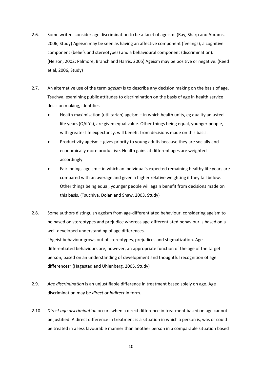- 2.6. Some writers consider age discrimination to be a facet of ageism. (Ray, Sharp and Abrams, 2006, Study) Ageism may be seen as having an affective component (feelings), a cognitive component (beliefs and stereotypes) and a behavioural component (discrimination). (Nelson, 2002; Palmore, Branch and Harris, 2005) Ageism may be positive or negative. (Reed et al, 2006, Study)
- 2.7. An alternative use of the term *ageism* is to describe any decision making on the basis of age. Tsuchya, examining public attitudes to discrimination on the basis of age in health service decision making, identifies
	- Health maximisation (utilitarian) ageism in which health units, eg quality adjusted life years (QALYs), are given equal value. Other things being equal, younger people, with greater life expectancy, will benefit from decisions made on this basis.
	- Productivity ageism gives priority to young adults because they are socially and economically more productive. Health gains at different ages are weighted accordingly.
	- Fair innings ageism in which an individual's expected remaining healthy life years are compared with an average and given a higher relative weighting if they fall below. Other things being equal, younger people will again benefit from decisions made on this basis. (Tsuchiya, Dolan and Shaw, 2003, Study)
- 2.8. Some authors distinguish ageism from age-differentiated behaviour, considering ageism to be based on stereotypes and prejudice whereas age-differentiated behaviour is based on a well-developed understanding of age differences. "Ageist behaviour grows out of stereotypes, prejudices and stigmatization. Age‐ differentiated behaviours are, however, an appropriate function of the age of the target person, based on an understanding of development and thoughtful recognition of age differences" (Hagestad and Uhlenberg, 2005, Study)
- 2.9. *Age discrimination* is an unjustifiable difference in treatment based solely on age. Age discrimination may be *direct* or *indirect* in form.
- 2.10. *Direct age discrimination* occurs when a direct difference in treatment based on age cannot be justified. A direct difference in treatment is a situation in which a person is, was or could be treated in a less favourable manner than another person in a comparable situation based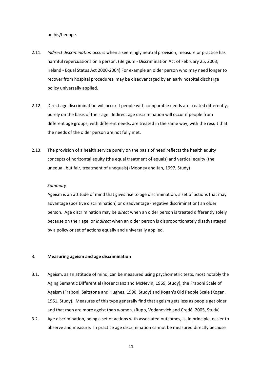on his/her age.

- 2.11. *Indirect discrimination* occurs when a seemingly neutral provision, measure or practice has harmful repercussions on a person. (Belgium - Discrimination Act of February 25, 2003; Ireland ‐ Equal Status Act 2000‐2004) For example an older person who may need longer to recover from hospital procedures, may be disadvantaged by an early hospital discharge policy universally applied.
- 2.12. Direct age discrimination will occur if people with comparable needs are treated differently, purely on the basis of their age. Indirect age discrimination will occur if people from different age groups, with different needs, are treated in the same way, with the result that the needs of the older person are not fully met.
- 2.13. The provision of a health service purely on the basis of need reflects the health equity concepts of horizontal equity (the equal treatment of equals) and vertical equity (the unequal, but fair, treatment of unequals) (Mooney and Jan, 1997, Study)

#### *Summary*

Ageism is an attitude of mind that gives rise to age discrimination, a set of actions that may advantage (positive discrimination) or disadvantage (negative discrimination) an older person. Age discrimination may be *direct* when an older person is treated differently solely because on their age, or *indirect* when an older person is disproportionately disadvantaged by a policy or set of actions equally and universally applied.

#### 3. **Measuring ageism and age discrimination**

- 3.1. Ageism, as an attitude of mind, can be measured using psychometric tests, most notably the Aging Semantic Differential (Rosencranz and McNevin, 1969, Study), the Fraboni Scale of Ageism (Fraboni, Saltstone and Hughes, 1990, Study) and Kogan's Old People Scale (Kogan, 1961, Study). Measures of this type generally find that ageism gets less as people get older and that men are more ageist than women. (Rupp, Vodanovich and Credé, 2005, Study)
- 3.2. Age discrimination, being a set of actions with associated outcomes, is, in principle, easier to observe and measure. In practice age discrimination cannot be measured directly because

11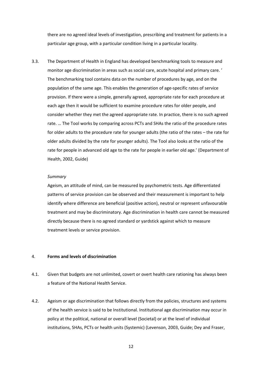there are no agreed ideal levels of investigation, prescribing and treatment for patients in a particular age group, with a particular condition living in a particular locality.

3.3. The Department of Health in England has developed benchmarking tools to measure and monitor age discrimination in areas such as social care, acute hospital and primary care. ' The benchmarking tool contains data on the number of procedures by age, and on the population of the same age. This enables the generation of age‐specific rates of service provision. If there were a simple, generally agreed, appropriate rate for each procedure at each age then it would be sufficient to examine procedure rates for older people, and consider whether they met the agreed appropriate rate. In practice, there is no such agreed rate. … The Tool works by comparing across PCTs and SHAs the ratio of the procedure rates for older adults to the procedure rate for younger adults (the ratio of the rates – the rate for older adults divided by the rate for younger adults). The Tool also looks at the ratio of the rate for people in advanced old age to the rate for people in earlier old age.' (Department of Health, 2002, Guide)

#### *Summary*

Ageism, an attitude of mind, can be measured by psychometric tests. Age differentiated patterns of service provision can be observed and their measurement is important to help identify where difference are beneficial (positive action), neutral or represent unfavourable treatment and may be discriminatory. Age discrimination in health care cannot be measured directly because there is no agreed standard or yardstick against which to measure treatment levels or service provision.

#### 4. **Forms and levels of discrimination**

- 4.1. Given that budgets are not unlimited, covert or overt health care rationing has always been a feature of the National Health Service.
- 4.2. Ageism or age discrimination that follows directly from the policies, structures and systems of the health service is said to be Institutional. Institutional age discrimination may occur in policy at the political, national or overall level (Societal) or at the level of individual institutions, SHAs, PCTs or health units (Systemic) (Levenson, 2003, Guide; Dey and Fraser,

12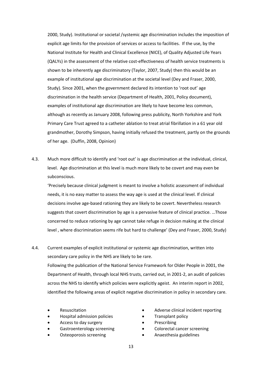2000, Study). Institutional or societal /systemic age discrimination includes the imposition of explicit age limits for the provision of services or access to facilities. If the use, by the National Institute for Health and Clinical Excellence (NICE), of Quality Adjusted Life Years (QALYs) in the assessment of the relative cost‐effectiveness of health service treatments is shown to be inherently age discriminatory (Taylor, 2007, Study) then this would be an example of institutional age discrimination at the societal level (Dey and Fraser, 2000, Study). Since 2001, when the government declared its intention to 'root out' age discrimination in the health service (Department of Health, 2001, Policy document), examples of institutional age discrimination are likely to have become less common, although as recently as January 2008, following press publicity, North Yorkshire and York Primary Care Trust agreed to a catheter ablation to treat atrial fibrillation in a 61 year old grandmother, Dorothy Simpson, having initially refused the treatment, partly on the grounds of her age. (Duffin, 2008, Opinion)

4.3. Much more difficult to identify and 'root out' is age discrimination at the individual, clinical, level. Age discrimination at this level is much more likely to be covert and may even be subconscious.

'Precisely because clinical judgment is meant to involve a holistic assessment of individual needs, it is no easy matter to assess the way age is used at the clinical level. If clinical decisions involve age-based rationing they are likely to be covert. Nevertheless research suggests that covert discrimination by age is a pervasive feature of clinical practice. …Those concerned to reduce rationing by age cannot take refuge in decision making at the clinical level , where discrimination seems rife but hard to challenge' (Dey and Fraser, 2000, Study)

- 4.4. Current examples of explicit institutional or systemic age discrimination, written into secondary care policy in the NHS are likely to be rare. Following the publication of the National Service Framework for Older People in 2001, the Department of Health, through local NHS trusts, carried out, in 2001‐2, an audit of policies across the NHS to identify which policies were explicitly ageist. An interim report in 2002, identified the following areas of explicit negative discrimination in policy in secondary care.
	- Resuscitation
	- Hospital admission policies
	- Access to day surgery
	- Gastroenterology screening
	- Osteoporosis screening
- Adverse clinical incident reporting
- Transplant policy
- **Prescribing**
- Colorectal cancer screening
- Anaesthesia guidelines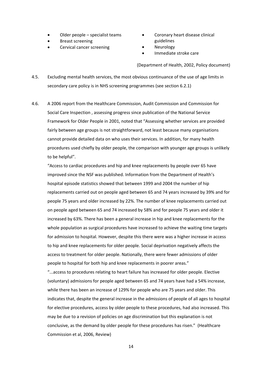- Older people specialist teams
- Breast screening
- Cervical cancer screening
- Coronary heart disease clinical guidelines
- **Neurology**
- Immediate stroke care

(Department of Health, 2002, Policy document)

- 4.5. Excluding mental health services, the most obvious continuance of the use of age limits in secondary care policy is in NHS screening programmes (see section 6.2.1)
- 4.6. A 2006 report from the Healthcare Commission, Audit Commission and Commission for Social Care Inspection , assessing progress since publication of the National Service Framework for Older People in 2001, noted that "Assessing whether services are provided fairly between age groups is not straightforward, not least because many organisations cannot provide detailed data on who uses their services. In addition, for many health procedures used chiefly by older people, the comparison with younger age groups is unlikely to be helpful".

"Access to cardiac procedures and hip and knee replacements by people over 65 have improved since the NSF was published. Information from the Department of Health's hospital episode statistics showed that between 1999 and 2004 the number of hip replacements carried out on people aged between 65 and 74 years increased by 39% and for people 75 years and older increased by 22%. The number of knee replacements carried out on people aged between 65 and 74 increased by 58% and for people 75 years and older it increased by 63%. There has been a general increase in hip and knee replacements for the whole population as surgical procedures have increased to achieve the waiting time targets for admission to hospital. However, despite this there were was a higher increase in access to hip and knee replacements for older people. Social deprivation negatively affects the access to treatment for older people. Nationally, there were fewer admissions of older people to hospital for both hip and knee replacements in poorer areas."

"...access to procedures relating to heart failure has increased for older people. Elective (voluntary) admissions for people aged between 65 and 74 years have had a 54% increase, while there has been an increase of 129% for people who are 75 years and older. This indicates that, despite the general increase in the admissions of people of all ages to hospital for elective procedures, access by older people to these procedures, had also increased. This may be due to a revision of policies on age discrimination but this explanation is not conclusive, as the demand by older people for these procedures has risen." (Healthcare Commission et al, 2006, Review)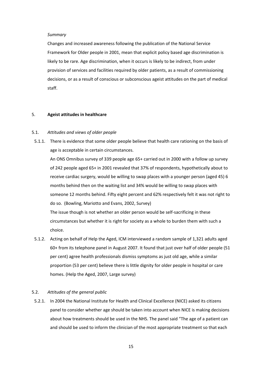#### *Summary*

Changes and increased awareness following the publication of the National Service Framework for Older people in 2001, mean that explicit policy based age discrimination is likely to be rare. Age discrimination, when it occurs is likely to be indirect, from under provision of services and facilities required by older patients, as a result of commissioning decisions, or as a result of conscious or subconscious ageist attitudes on the part of medical staff.

#### 5. **Ageist attitudes in healthcare**

#### 5.1. *Attitudes and views of older people*

5.1.1. There is evidence that some older people believe that health care rationing on the basis of age is acceptable in certain circumstances.

An ONS Omnibus survey of 339 people age 65+ carried out in 2000 with a follow up survey of 242 people aged 65+ in 2001 revealed that 37% of respondents, hypothetically about to receive cardiac surgery, would be willing to swap places with a younger person (aged 45) 6 months behind then on the waiting list and 34% would be willing to swap places with someone 12 months behind. Fifty eight percent and 62% respectively felt it was not right to do so. (Bowling, Mariotto and Evans, 2002, Survey)

The issue though is not whether an older person would be self-sacrificing in these circumstances but whether it is right for society as a whole to burden them with such a choice.

5.1.2. Acting on behalf of Help the Aged, ICM interviewed a random sample of 1,321 adults aged 60+ from its telephone panel in August 2007. It found that just over half of older people (51 per cent) agree health professionals dismiss symptoms as just old age, while a similar proportion (53 per cent) believe there is little dignity for older people in hospital or care homes. (Help the Aged, 2007, Large survey)

### 5.2. *Attitudes of the general public*

5.2.1. In 2004 the National Institute for Health and Clinical Excellence (NICE) asked its citizens panel to consider whether age should be taken into account when NICE is making decisions about how treatments should be used in the NHS. The panel said "The age of a patient can and should be used to inform the clinician of the most appropriate treatment so that each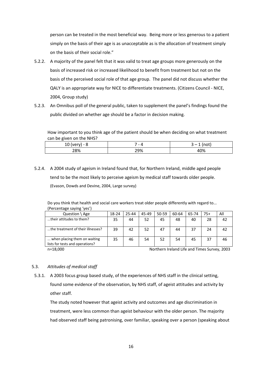person can be treated in the most beneficial way. Being more or less generous to a patient simply on the basis of their age is as unacceptable as is the allocation of treatment simply on the basis of their social role."

- 5.2.2. A majority of the panel felt that it was valid to treat age groups more generously on the basis of increased risk or increased likelihood to benefit from treatment but not on the basis of the perceived social role of that age group. The panel did not discuss whether the QALY is an appropriate way for NICE to differentiate treatments. (Citizens Council ‐ NICE, 2004, Group study)
- 5.2.3. An Omnibus poll of the general public, taken to supplement the panel's findings found the public divided on whether age should be a factor in decision making.

How important to you think age of the patient should be when deciding on what treatment can be given on the NHS?

| ᅭ   | $\overline{\phantom{0}}$<br>ட | .<br>$\overline{\phantom{0}}$<br>ັ |
|-----|-------------------------------|------------------------------------|
| 28% | 29%                           | 40%                                |

5.2.4. A 2004 study of ageism in Ireland found that, for Northern Ireland, middle aged people tend to be the most likely to perceive ageism by medical staff towards older people. (Evason, Dowds and Devine, 2004, Large survey)

Do you think that health and social care workers treat older people differently with regard to... (Percentage saying 'yes')

| Question \ Age                                                  | 18-24 | 25-44 | 45-49 | $50 - 59$ | 60-64 | 65-74 | $75+$ | All |
|-----------------------------------------------------------------|-------|-------|-------|-----------|-------|-------|-------|-----|
| their attitudes to them?                                        | 35    | 44    | 52    | 45        | 48    | 40    | 28    | 42  |
| the treatment of their illnesses?                               | 39    | 42    | 52    | 47        | 44    | 37    | 24    | 42  |
| when placing them on waiting<br>lists for tests and operations? | 35    | 46    | 54    | 52        | 54    | 45    | 37    | 46  |

n=18,000 Northern Ireland Life and Times Survey, 2003

# 5.3. *Attitudes of medical staff*

5.3.1. A 2003 focus group based study, of the experiences of NHS staff in the clinical setting, found some evidence of the observation, by NHS staff, of ageist attitudes and activity by other staff.

The study noted however that ageist activity and outcomes and age discrimination in treatment, were less common than ageist behaviour with the older person. The majority had observed staff being patronising, over familiar, speaking over a person (speaking about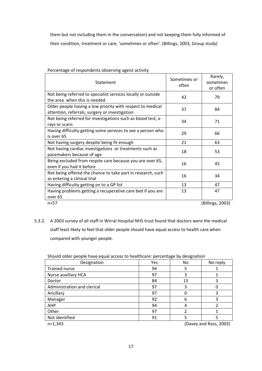them but not including them in the conversation) and not keeping them fully informed of their condition, treatment or care, 'sometimes or often'. (Billings, 2003, Group study)

| Statement                                                                                                    | Sometimes or<br>often | Rarely,<br>sometimes<br>or often |
|--------------------------------------------------------------------------------------------------------------|-----------------------|----------------------------------|
| Not being referred to specialist services locally or outside<br>the area when this is needed                 | 42                    | 79                               |
| Older people having a low priority with respect to medical<br>attention, referrals, surgery or investigation | 37                    | 84                               |
| Not being referred for investigations such as blood test, x-<br>rays or scans                                | 34                    | 71                               |
| Having difficulty getting some services to see a person who<br>is over 65                                    | 29                    | 66                               |
| Not having surgery despite being fit enough                                                                  | 21                    | 63                               |
| Not having cardiac investigations or treatments such as<br>pacemakers because of age                         | 18                    | 53                               |
| Being excluded from respite care because you are over 65,<br>even if you had it before                       | 16                    | 45                               |
| Not being offered the chance to take part in research, such<br>as entering a clinical trial                  | 16                    | 34                               |
| Having difficulty getting on to a GP list                                                                    | 13                    | 47                               |
| Having problems getting a recuperative care bed if you are<br>over <sub>65</sub>                             | 13                    | 47                               |
| $n = 57$                                                                                                     |                       | (Billings, 2003)                 |

Percentage of respondents observing ageist activity

5.3.2. A 2003 survey of all staff in Wirral Hospital NHS trust found that doctors were the medical staff least likely to feel that older people should have equal access to health care when compared with younger people.

| Should older people have equal access to healthcare: percentage by designation |  |
|--------------------------------------------------------------------------------|--|
|--------------------------------------------------------------------------------|--|

| Designation                 | Yes                    | No | No reply |  |  |
|-----------------------------|------------------------|----|----------|--|--|
| <b>Trained nurse</b>        | 94                     | 5  |          |  |  |
| Nurse auxiliary HCA         | 97                     | 3  |          |  |  |
| Doctor                      | 84                     | 13 | 3        |  |  |
| Administration and clerical | 97                     | 3  |          |  |  |
| Ancillary                   | 97                     |    | 3        |  |  |
| Manager                     | 92                     | 6  | 3        |  |  |
| AHP                         | 94                     | 4  |          |  |  |
| Other                       | 97                     | 2  |          |  |  |
| Not identified              | 91                     |    |          |  |  |
| $n=1,343$                   | (Davey and Ross, 2003) |    |          |  |  |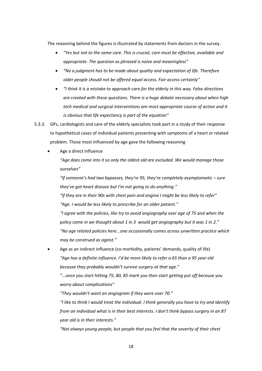The reasoning behind the figures is illustrated by statements from doctors in the survey.

- *"Yes but not to the same care. This is crucial, care must be effective, available and appropriate. The question as phrased is naive and meaningless"*
- *"No a judgment has to be made about quality and expectation of life. Therefore older people should not be offered equal access. Fair access certainly"*
- *"I think it is a mistake to approach care for the elderly in this way. False directions are created with these questions. There is a huge debate necessary about when high tech medical and surgical interventions are most appropriate course of action and it is obvious that life expectancy is part of the equation"*
- 5.3.3. GPs, cardiologists and care of the elderly specialists took part in a study of their response to hypothetical cases of individual patients presenting with symptoms of a heart or related problem. Those most influenced by age gave the following reasoning
	- Age a direct influence

*"Age does come into it so only the oldest old are excluded. We would manage those ourselves"*

*"If someone's had two bypasses, they're 95, they're completely asymptomatic – sure they've got heart disease but I'm not going to do anything."*

*"If they are in their 90s with chest pain and angina I might be less likely to refer" "Age. I would be less likely to prescribe for an older patient."*

*"I agree with the policies, like try to avoid angiography over age of 75 and when the policy came in we thought about 1 in 3 would get angiography but it was 1 in 2." "No age related policies here...one occasionally comes across unwritten practice which may be construed as ageist."*

Age as an indirect influence (co-morbidity, patients' demands, quality of life) *"Age has a definite influence. I'd be more likely to refer a 65 than a 95 year old because they probably wouldn't survive surgery at that age."*

*"...once you start hitting 75, 80, 85 mark you then start getting put off because you worry about complications"*

*"They wouldn't want an angiogram if they were over 70."*

*"I like to think I would treat the individual. I think generally you have to try and identify from an individual what is in their best interests. I don't think bypass surgery in an 87 year old is in their interests."*

*"Not always young people, but people that you feel that the severity of their chest*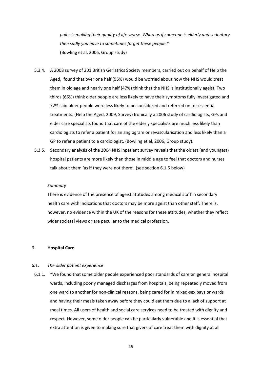*pains is making their quality of life worse. Whereas if someone is elderly and sedentary then sadly you have to sometimes forget these people."* (Bowling et al, 2006, Group study)

- 5.3.4. A 2008 survey of 201 British Geriatrics Society members, carried out on behalf of Help the Aged, found that over one half (55%) would be worried about how the NHS would treat them in old age and nearly one half (47%) think that the NHS is institutionally ageist. Two thirds (66%) think older people are less likely to have their symptoms fully investigated and 72% said older people were less likely to be considered and referred on for essential treatments. (Help the Aged, 2009, Survey) Ironically a 2006 study of cardiologists, GPs and elder care specialists found that care of the elderly specialists are much less likely than cardiologists to refer a patient for an angiogram or revascularisation and less likely than a GP to refer a patient to a cardiologist. (Bowling et al, 2006, Group study).
- 5.3.5. Secondary analysis of the 2004 NHS inpatient survey reveals that the oldest (and youngest) hospital patients are more likely than those in middle age to feel that doctors and nurses talk about them 'as if they were not there'. (see section 6.1.5 below)

#### *Summary*

There is evidence of the presence of ageist attitudes among medical staff in secondary health care with indications that doctors may be more ageist than other staff. There is, however, no evidence within the UK of the reasons for these attitudes, whether they reflect wider societal views or are peculiar to the medical profession.

#### 6. **Hospital Care**

#### 6.1. *The older patient experience*

6.1.1. "We found that some older people experienced poor standards of care on general hospital wards, including poorly managed discharges from hospitals, being repeatedly moved from one ward to another for non‐clinical reasons, being cared for in mixed‐sex bays or wards and having their meals taken away before they could eat them due to a lack of support at meal times. All users of health and social care services need to be treated with dignity and respect. However, some older people can be particularly vulnerable and it is essential that extra attention is given to making sure that givers of care treat them with dignity at all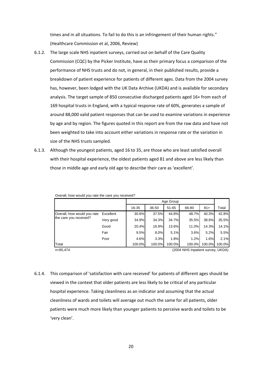times and in all situations. To fail to do this is an infringement of their human rights." (Healthcare Commission et al, 2006, Review)

- 6.1.2. The large scale NHS inpatient surveys, carried out on behalf of the Care Quality Commission (CQC) by the Picker Institute, have as their primary focus a comparison of the performance of NHS trusts and do not, in general, in their published results, provide a breakdown of patient experience for patients of different ages. Data from the 2004 survey has, however, been lodged with the UK Data Archive (UKDA) and is available for secondary analysis. The target sample of 850 consecutive discharged patients aged 16+ from each of 169 hospital trusts in England, with a typical response rate of 60%, generates a sample of around 88,000 valid patient responses that can be used to examine variations in experience by age and by region. The figures quoted in this report are from the raw data and have not been weighted to take into account either variations in response rate or the variation in size of the NHS trusts sampled.
- 6.1.3. Although the youngest patients, aged 16 to 35, are those who are least satisfied overall with their hospital experience, the oldest patients aged 81 and above are less likely than those in middle age and early old age to describe their care as 'excellent'.

|                                               |           | 16-35  | 36-50  | $51 - 65$ | 66-80  | $81+$  | Total  |
|-----------------------------------------------|-----------|--------|--------|-----------|--------|--------|--------|
| Overall, how would you rate                   | Excellent | 30.6%  | 37.5%  | 44.8%     | 48.7%  | 40.3%  | 42.8%  |
| the care you received?                        | Very good | 34.9%  | 34.3%  | 34.7%     | 35.5%  | 38.6%  | 35.5%  |
|                                               | Good      | 20.4%  | 16.9%  | 13.6%     | 11.0%  | 14.3%  | 14.1%  |
|                                               | Fair      | 9.5%   | 8.0%   | 5.1%      | 3.6%   | 5.2%   | 5.5%   |
|                                               | Poor      | 4.6%   | 3.3%   | 1.8%      | 1.2%   | 1.6%   | 2.1%   |
| Total                                         |           | 100.0% | 100.0% | 100.0%    | 100.0% | 100.0% | 100.0% |
| n=85,474<br>(2004 NHS Inpatient survey, UKDA) |           |        |        |           |        |        |        |

Overall, how would you rate the care you received?

6.1.4. This comparison of 'satisfaction with care received' for patients of different ages should be viewed in the context that older patients are less likely to be critical of any particular hospital experience. Taking cleanliness as an indicator and assuming that the actual cleanliness of wards and toilets will average out much the same for all patients, older patients were much more likely than younger patients to perceive wards and toilets to be 'very clean'.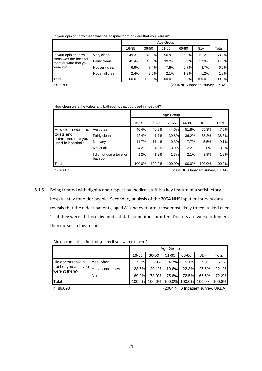In your opinion, how clean was the hospital room or ward that you were in?

|                                                 |                  |        | Age Group |        |        |        |        |  |  |
|-------------------------------------------------|------------------|--------|-----------|--------|--------|--------|--------|--|--|
|                                                 |                  | 16-35  | 36-50     | 51-65  | 66-80  | $81+$  | Total  |  |  |
| In your opinion, how                            | Very clean       | 49.3%  | 49.3%     | 50.9%  | 56.8%  | 61.2%  | 53.9%  |  |  |
| clean was the hospital<br>room or ward that you | Fairly clean     | 41.4%  | 40.8%     | 39.2%  | 36.3%  | 32.9%  | 37.8%  |  |  |
| were in?                                        | Not very clean   | 6.9%   | 7.4%      | 7.8%   | 5.7%   | 4.7%   | 6.5%   |  |  |
|                                                 | Not at all clean | 2.4%   | 2.5%      | 2.1%   | 1.3%   | 1.2%   | 1.8%   |  |  |
| Total                                           |                  | 100.0% | 100.0%    | 100.0% | 100.0% | 100.0% | 100.0% |  |  |

n=86,766 (2004 NHS Inpatient survey, UKDA)

How clean were the toilets and bathrooms that you used in hospital?

|                                         |                                       |        | Age Group |           |        |        |        |  |  |
|-----------------------------------------|---------------------------------------|--------|-----------|-----------|--------|--------|--------|--|--|
|                                         |                                       | 16-35  | 36-50     | $51 - 65$ | 66-80  | $81+$  | Total  |  |  |
| How clean were the                      | Very clean                            | 40.4%  | 40.9%     | 44.6%     | 51.8%  | 55.3%  | 47.5%  |  |  |
| toilets and                             | Fairly clean                          | 42.4%  | 41.7%     | 39.8%     | 36.2%  | 33.2%  | 38.3%  |  |  |
| bathrooms that you<br>used in hospital? | Not very                              | 11.7%  | 11.4%     | 10.3%     | 7.7%   | 5.5%   | 9.1%   |  |  |
|                                         | Not at all                            | 4.2%   | 4.8%      | 3.9%      | 2.2%   | 2.0%   | 3.2%   |  |  |
|                                         | I did not use a toilet or<br>bathroom | 1.2%   | 1.2%      | 1.3%      | 2.1%   | 3.9%   | 1.9%   |  |  |
| Total                                   |                                       | 100.0% | 100.0%    | 100.0%    | 100.0% | 100.0% | 100.0% |  |  |

n=86,607 (2004 NHS Inpatient survey, UKDA)

6.1.5. Being treated with dignity and respect by medical staff is a key feature of a satisfactory hospital stay for older people. Secondary analysis of the 2004 NHS inpatient survey data reveals that the oldest patients, aged 81 and over, are those most likely to feel talked over 'as if they weren't there' by medical staff sometimes or often. Doctors are worse offenders than nurses in this respect.

Did doctors talk in front of you as if you weren't there?

|                                                                 |                |        | Age Group |           |        |        |        |  |  |
|-----------------------------------------------------------------|----------------|--------|-----------|-----------|--------|--------|--------|--|--|
|                                                                 |                | 16-35  | 36-50     | $51 - 65$ | 66-80  | $81+$  | Total  |  |  |
| Did doctors talk in<br>front of you as if you<br>weren't there? | Yes. often     | 7.5%   | 5.9%      | 4.7%      | 5.1%   | 7.0%   | 5.7%   |  |  |
|                                                                 | Yes, sometimes | 23.5%  | 20.1%     | 19.6%     | 22.3%  | 27.5%  | 22.1%  |  |  |
|                                                                 | No             | 69.0%I | 73.9%     | 75.6%     | 72.5%  | 65.5%  | 72.2%  |  |  |
| Total                                                           |                | 100.0% | 100.0%    | 100.0%    | 100.0% | 100.0% | 100.0% |  |  |

n=86,093 (2004 NHS Inpatient survey, UKDA)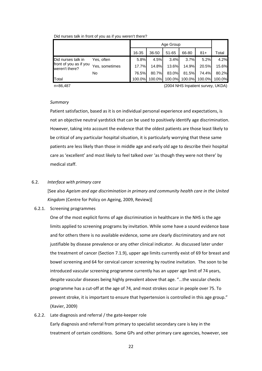|                                          |                |        | Age Group |           |        |        |        |  |  |
|------------------------------------------|----------------|--------|-----------|-----------|--------|--------|--------|--|--|
|                                          |                | 16-35  | 36-50     | $51 - 65$ | 66-80  | $81+$  | Total  |  |  |
| Did nurses talk in                       | Yes, often     | 5.8%   | 4.5%      | 3.4%      | 3.7%   | 5.2%   | 4.2%   |  |  |
| front of you as if you<br>weren't there? | Yes, sometimes | 17.7%  | 14.8%     | 13.6%     | 14.9%  | 20.5%  | 15.6%  |  |  |
|                                          | No.            | 76.5%  | 80.7%     | 83.0%     | 81.5%  | 74.4%  | 80.2%  |  |  |
| Total                                    |                | 100.0% | 100.0%    | 100.0%    | 100.0% | 100.0% | 100.0% |  |  |

Did nurses talk in front of you as if you weren't there?

n=86,487 (2004 NHS Inpatient survey, UKDA)

#### *Summary*

Patient satisfaction, based as it is on individual personal experience and expectations, is not an objective neutral yardstick that can be used to positively identify age discrimination. However, taking into account the evidence that the oldest patients are those least likely to be critical of any particular hospital situation, it is particularly worrying that these same patients are less likely than those in middle age and early old age to describe their hospital care as 'excellent' and most likely to feel talked over 'as though they were not there' by medical staff.

# 6.2. *Interface with primary care*

[See also *Ageism and age discrimination in primary and community health care in the United Kingdom* (Centre for Policy on Ageing, 2009, Review)]

#### 6.2.1. Screening programmes

One of the most explicit forms of age discrimination in healthcare in the NHS is the age limits applied to screening programs by invitation. While some have a sound evidence base and for others there is no available evidence, some are clearly discriminatory and are not justifiable by disease prevalence or any other clinical indicator. As discussed later under the treatment of cancer (Section 7.1.9), upper age limits currently exist of 69 for breast and bowel screening and 64 for cervical cancer screening by routine invitation. The soon to be introduced vascular screening programme currently has an upper age limit of 74 years, despite vascular diseases being highly prevalent above that age. "...the vascular checks programme has a cut‐off at the age of 74, and most strokes occur in people over 75. To prevent stroke, it is important to ensure that hypertension is controlled in this age group." (Xavier, 2009)

6.2.2. Late diagnosis and referral / the gate‐keeper role Early diagnosis and referral from primary to specialist secondary care is key in the treatment of certain conditions. Some GPs and other primary care agencies, however, see

22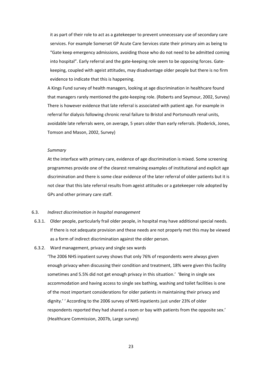it as part of their role to act as a gatekeeper to prevent unnecessary use of secondary care services. For example Somerset GP Acute Care Services state their primary aim as being to "Gate keep emergency admissions, avoiding those who do not need to be admitted coming into hospital". Early referral and the gate‐keeping role seem to be opposing forces. Gate‐ keeping, coupled with ageist attitudes, may disadvantage older people but there is no firm evidence to indicate that this is happening.

A Kings Fund survey of health managers, looking at age discrimination in healthcare found that managers rarely mentioned the gate‐keeping role. (Roberts and Seymour, 2002, Survey) There is however evidence that late referral is associated with patient age. For example in referral for dialysis following chronic renal failure to Bristol and Portsmouth renal units, avoidable late referrals were, on average, 5 years older than early referrals. (Roderick, Jones, Tomson and Mason, 2002, Survey)

#### *Summary*

At the interface with primary care, evidence of age discrimination is mixed. Some screening programmes provide one of the clearest remaining examples of institutional and explicit age discrimination and there is some clear evidence of the later referral of older patients but it is not clear that this late referral results from ageist attitudes or a gatekeeper role adopted by GPs and other primary care staff.

#### 6.3. *Indirect discrimination in hospital management*

- 6.3.1. Older people, particularly frail older people, in hospital may have additional special needs. If there is not adequate provision and these needs are not properly met this may be viewed as a form of indirect discrimination against the older person.
- 6.3.2. Ward management, privacy and single sex wards

'The 2006 NHS inpatient survey shows that only 76% of respondents were always given enough privacy when discussing their condition and treatment, 18% were given this facility sometimes and 5.5% did not get enough privacy in this situation.' 'Being in single sex accommodation and having access to single sex bathing, washing and toilet facilities is one of the most important considerations for older patients in maintaining their privacy and dignity.' ' According to the 2006 survey of NHS inpatients just under 23% of older respondents reported they had shared a room or bay with patients from the opposite sex.' (Healthcare Commission, 2007b, Large survey)

23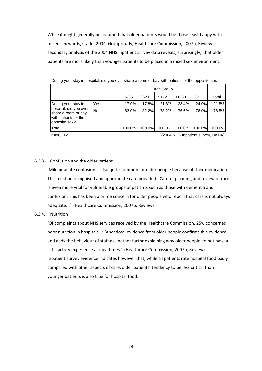While it might generally be assumed that older patients would be those least happy with mixed sex wards, (Tadd, 2004, Group study; Healthcare Commission, 2007b, Review), secondary analysis of the 2004 NHS inpatient survey data reveals, surprisingly, that older patients are more likely than younger patients to be placed in a mixed sex environment.

|                                                                                        |           | 16-35  | 36-50  | $51 - 65$ | 66-80  | $81+$  | Total  |
|----------------------------------------------------------------------------------------|-----------|--------|--------|-----------|--------|--------|--------|
| During your stay in                                                                    | Yes       | 17.0%  | 17.8%  | 21.8%     | 23.4%  | 24.0%  | 21.5%  |
| hospital, did you ever<br>share a room or bay<br>with patients of the<br>opposite sex? | <b>No</b> | 83.0%  | 82.2%  | 78.2%     | 76.6%  | 76.0%  | 78.5%  |
| Total                                                                                  |           | 100.0% | 100.0% | 100.0%    | 100.0% | 100.0% | 100.0% |

During your stay in hospital, did you ever share a room or bay with patients of the opposite sex

n=86,212 (2004 NHS Inpatient survey, UKDA)

#### 6.3.3. Confusion and the older patient

'Mild or acute confusion is also quite common for older people because of their medication. This must be recognised and appropriate care provided. Careful planning and review of care is even more vital for vulnerable groups of patients such as those with dementia and confusion. This has been a prime concern for older people who report that care is not always adequate...' (Healthcare Commission, 2007b, Review)

#### 6.3.4. Nutrition

'Of complaints about NHS services received by the Healthcare Commission, 25% concerned poor nutrition in hospitals...' 'Anecdotal evidence from older people confirms this evidence and adds the behaviour of staff as another factor explaining why older people do not have a satisfactory experience at mealtimes.' (Healthcare Commission, 2007b, Review) Inpatient survey evidence indicates however that, while all patients rate hospital food badly compared with other aspects of care, older patients' tendency to be less critical than younger patients is also true for hospital food.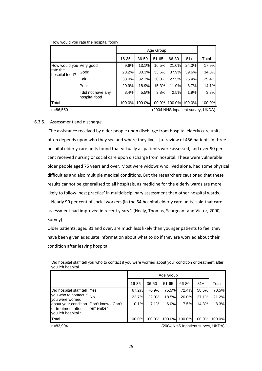How would you rate the hospital food?

|                                                       |                                     | 16-35    | 36-50 | 51-65         | 66-80  | $81 +$ | Total  |
|-------------------------------------------------------|-------------------------------------|----------|-------|---------------|--------|--------|--------|
| How would you Very good<br>rate the<br>hospital food? |                                     | 9.6%     | 13.1% | 16.5%         | 21.0%  | 24.3%  | 17.9%  |
|                                                       | Good                                | 28.2%    | 30.3% | 33.6%         | 37.9%  | 39.6%  | 34.8%  |
|                                                       | Fair                                | $33.0\%$ | 32.2% | 30.8%         | 27.5%  | 25.4%  | 29.4%  |
|                                                       | Poor                                | 20.9%    | 18.9% | 15.3%         | 11.0%  | 8.7%   | 14.1%  |
|                                                       | I did not have any<br>hospital food | 8.4%     | 5.5%  | 3.8%          | 2.5%   | 1.9%   | 3.8%   |
| Total                                                 |                                     | 100.0%   |       | 100.0% 100.0% | 100.0% | 100.0% | 100.0% |

n=86,550 (2004 NHS Inpatient survey, UKDA)

#### 6.3.5. Assessment and discharge

'The assistance received by older people upon discharge from hospital elderly care units often depends upon who they see and where they live... [a] review of 456 patients in three hospital elderly care units found that virtually all patients were assessed, and over 90 per cent received nursing or social care upon discharge from hospital. These were vulnerable older people aged 75 years and over. Most were widows who lived alone, had some physical difficulties and also multiple medical conditions. But the researchers cautioned that these results cannot be generalised to all hospitals, as medicine for the elderly wards are more likely to follow 'best practice' in multidisciplinary assessment than other hospital wards. ...Nearly 90 per cent of social workers (in the 54 hospital elderly care units) said that care assessment had improved in recent years.' (Healy, Thomas, Seargeant and Victor, 2000, Survey)

Older patients, aged 81 and over, are much less likely than younger patients to feel they have been given adequate information about what to do if they are worried about their condition after leaving hospital.

|                                                                          |                                | 16-35  | 36-50  | 51-65  | 66-80  | $81+$  | Total  |
|--------------------------------------------------------------------------|--------------------------------|--------|--------|--------|--------|--------|--------|
| Did hospital staff tell Yes<br>you who to contact if<br>you were worried |                                | 67.2%  | 70.9%  | 75.5%  | 72.4%  | 58.6%  | 70.5%  |
|                                                                          | No                             | 22.7%  | 22.0%  | 18.5%  | 20.0%  | 27.1%  | 21.2%  |
| about your condition<br>or treatment after<br>you left hospital?         | Don't know - Can't<br>remember | 10.1%  | 7.1%   | 6.0%   | 7.5%   | 14.3%  | 8.3%   |
| Total                                                                    |                                | 100.0% | 100.0% | 100.0% | 100.0% | 100.0% | 100.0% |

Did hospital staff tell you who to contact if you were worried about your condition or treatment after you left hospital

n=83,904 (2004 NHS Inpatient survey, UKDA)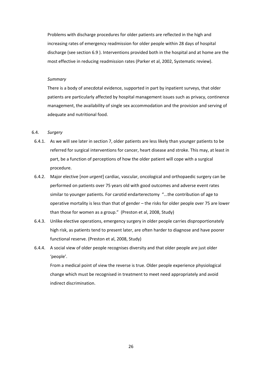Problems with discharge procedures for older patients are reflected in the high and increasing rates of emergency readmission for older people within 28 days of hospital discharge (see section 6.9). Interventions provided both in the hospital and at home are the most effective in reducing readmission rates (Parker et al, 2002, Systematic review).

#### *Summary*

There is a body of anecdotal evidence, supported in part by inpatient surveys, that older patients are particularly affected by hospital management issues such as privacy, continence management, the availability of single sex accommodation and the provision and serving of adequate and nutritional food.

#### 6.4. *Surgery*

- 6.4.1. As we will see later in section 7, older patients are less likely than younger patients to be referred for surgical interventions for cancer, heart disease and stroke. This may, at least in part, be a function of perceptions of how the older patient will cope with a surgical procedure.
- 6.4.2. Major elective [*non urgent*] cardiac, vascular, oncological and orthopaedic surgery can be performed on patients over 75 years old with good outcomes and adverse event rates similar to younger patients. For carotid endarterectomy "...the contribution of age to operative mortality is less than that of gender – the risks for older people over 75 are lower than those for women as a group." (Preston et al, 2008, Study)
- 6.4.3. Unlike elective operations, emergency surgery in older people carries disproportionately high risk, as patients tend to present later, are often harder to diagnose and have poorer functional reserve. (Preston et al, 2008, Study)
- 6.4.4. A social view of older people recognises diversity and that older people are just older 'people'.

From a medical point of view the reverse is true. Older people experience physiological change which must be recognised in treatment to meet need appropriately and avoid indirect discrimination.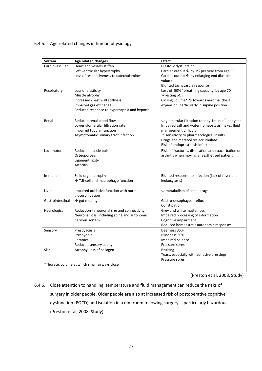# 6.4.5. Age related changes in human physiology

| System           | Age related changes                           | <b>Effect</b>                                                                  |
|------------------|-----------------------------------------------|--------------------------------------------------------------------------------|
| Cardiovascular   | Heart and vessels stiffen                     | Diastolic dysfunction                                                          |
|                  | Left ventricular hypertrophy                  | Cardiac output $\overline{\smash[b]{\mathsf{b}}}$ by 1% per year from age 30   |
|                  | Loss of responsiveness to catecholamines      | Cardiac output $\uparrow$ by enlarging end diastolic                           |
|                  |                                               | volume                                                                         |
|                  |                                               | Blunted tachycardia response                                                   |
| Respiratory      | Loss of elasticity                            | Loss of 50% ' breathing capacity' by age 70                                    |
|                  | Muscle atrophy                                | $\sqrt{\frac{1}{2}}$ resting pO <sub>2</sub>                                   |
|                  | Increased chest wall stiffness                | Closing volume* 个 towards maximal chest                                        |
|                  | Impaired gas exchange                         | expansion, particularly in supine position                                     |
|                  | Reduced response to hypercapnia and hypoxia   |                                                                                |
| Renal            | Reduced renal blood flow                      | $\overline{\Psi}$ glomerular filtration rate by 1ml min <sup>-1</sup> per year |
|                  | Lower glomerular filtration rate              | Impaired salt and water homeostasis makes fluid                                |
|                  | Impaired tubular function                     | management difficult                                                           |
|                  | Asymptomatic urinary tract infection          | ↑ sensitivity to pharmacological insults                                       |
|                  |                                               | Drugs and metabolites accumulate                                               |
|                  |                                               | Risk of endoprosthesis infection                                               |
| Locomotor        | Reduced muscle bulk                           | Risk of fractures, dislocation and exacerbation or                             |
|                  | Osteoporosis                                  | arthritis when moving anaesthetised patient                                    |
|                  | Ligament laxity                               |                                                                                |
|                  | <b>Arthritis</b>                              |                                                                                |
|                  |                                               |                                                                                |
| Immune           | Solid organ atrophy                           | Blunted response to infection (lack of fever and                               |
|                  | $\downarrow$ T,B-cell and macrophage function | leukocytosis)                                                                  |
| Liver            | Impaired oxidative function with normal       | $\overline{\mathsf{V}}$ metabolism of some drugs                               |
|                  | glucuronidation                               |                                                                                |
| Gastrointestinal | $\sqrt{}$ gut motility                        | Gastro-oesophageal reflux                                                      |
|                  |                                               | Constipation                                                                   |
| Neurological     | Reduction in neuronal size and connectivity   | Grey and white matter loss                                                     |
|                  | Neuronal loss, including spine and autonomic  | Impaired processing of information                                             |
|                  | nervous system                                | Cognitive impairment                                                           |
|                  |                                               | Reduced homeostatic autonomic responses                                        |
| Sensory          | Presbyacusis                                  | Deafness 35%                                                                   |
|                  | Presbyopia                                    | <b>Blindness 30%</b>                                                           |
|                  | Cataract                                      | Impaired balance                                                               |
|                  | Reduced sensory acuity                        | Pressure sores                                                                 |
| Skin             | Atrophy, loss of collagen                     | <b>Bruising</b>                                                                |
|                  |                                               | Tears, especially with adhesive dressings                                      |
|                  |                                               |                                                                                |

(Preston et al, 2008, Study)

6.4.6. Close attention to handling, temperature and fluid management can reduce the risks of surgery in older people. Older people are also at increased risk of postoperative cognitive dysfunction (POCD) and isolation in a dim room following surgery is particularly hazardous. (Preston et al, 2008, Study)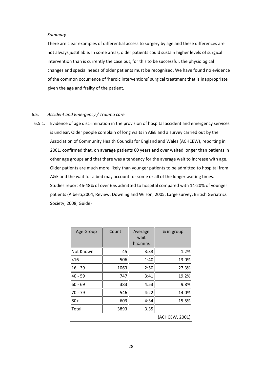#### *Summary*

There are clear examples of differential access to surgery by age and these differences are not always justifiable. In some areas, older patients could sustain higher levels of surgical intervention than is currently the case but, for this to be successful, the physiological changes and special needs of older patients must be recognised. We have found no evidence of the common occurrence of 'heroic interventions' surgical treatment that is inappropriate given the age and frailty of the patient.

#### 6.5. *Accident and Emergency / Trauma care*

6.5.1. Evidence of age discrimination in the provision of hospital accident and emergency services is unclear. Older people complain of long waits in A&E and a survey carried out by the Association of Community Health Councils for England and Wales (ACHCEW), reporting in 2001, confirmed that, on average patients 60 years and over waited longer than patients in other age groups and that there was a tendency for the average wait to increase with age. Older patients are much more likely than younger patients to be admitted to hospital from A&E and the wait for a bed may account for some or all of the longer waiting times. Studies report 46‐48% of over 65s admitted to hospital compared with 14‐20% of younger patients (Alberti,2004, Review; Downing and Wilson, 2005, Large survey; British Geriatrics Society, 2008, Guide)

| Age Group | Count | Average<br>wait<br>hrs:mins | % in group     |
|-----------|-------|-----------------------------|----------------|
| Not Known | 45    | 3:33                        | 1.2%           |
| $<$ 16    | 506   | 1:40                        | 13.0%          |
| $16 - 39$ | 1063  | 2:50                        | 27.3%          |
| $40 - 59$ | 747   | 3:41                        | 19.2%          |
| $60 - 69$ | 383   | 4:53                        | 9.8%           |
| $70 - 79$ | 546   | 4:22                        | 14.0%          |
| $80+$     | 603   | 4:34                        | 15.5%          |
| Total     | 3893  | 3.35                        |                |
|           |       |                             | (ACHCEW, 2001) |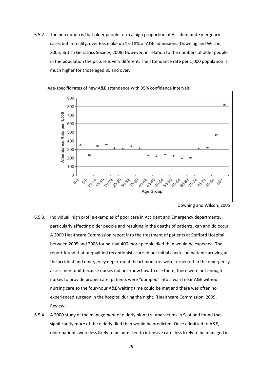6.5.2. The perception is that older people form a high proportion of Accident and Emergency cases but in reality, over 65s make up 15‐18% of A&E admissions.(Downing and Wilson, 2005; British Geriatrics Society, 2008) However, in relation to the numbers of older people in the population the picture is very different. The attendance rate per 1,000 population is much higher for those aged 80 and over.



Age‐specific rates of new A&E attendance with 95% confidence intervals

- 6.5.3. Individual, high profile examples of poor care in Accident and Emergency departments, particularly affecting older people and resulting in the deaths of patients, can and do occur. A 2009 Healthcare Commission report into the treatment of patients at Stafford Hospital between 2005 and 2008 found that 400 more people died than would be expected. The report found that unqualified receptionists carried out initial checks on patients arriving at the accident and emergency department, heart monitors were turned off in the emergency assessment unit because nurses did not know how to use them, there were not enough nurses to provide proper care, patients were "dumped" into a ward near A&E without nursing care so the four‐hour A&E waiting time could be met and there was often no experienced surgeon in the hospital during the night. (Healthcare Commission, 2009, Review)
- 6.5.4. A 2000 study of the management of elderly blunt trauma victims in Scotland found that significantly more of the elderly died than would be predicted. Once admitted to A&E, older patients were less likely to be admitted to intensive care, less likely to be managed in

Downing and Wilson, 2005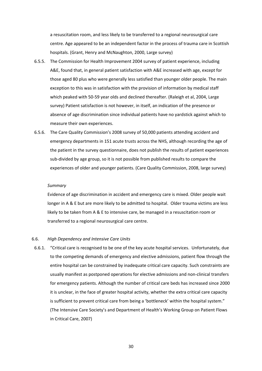a resuscitation room, and less likely to be transferred to a regional neurosurgical care centre. Age appeared to be an independent factor in the process of trauma care in Scottish hospitals. (Grant, Henry and McNaughton, 2000, Large survey)

- 6.5.5. The Commission for Health Improvement 2004 survey of patient experience, including A&E, found that, in general patient satisfaction with A&E increased with age, except for those aged 80 plus who were generally less satisfied than younger older people. The main exception to this was in satisfaction with the provision of information by medical staff which peaked with 50‐59 year olds and declined thereafter. (Raleigh et al, 2004, Large survey) Patient satisfaction is not however, in itself, an indication of the presence or absence of age discrimination since individual patients have no yardstick against which to measure their own experiences.
- 6.5.6. The Care Quality Commission's 2008 survey of 50,000 patients attending accident and emergency departments in 151 acute trusts across the NHS, although recording the age of the patient in the survey questionnaire, does not publish the results of patient experiences sub‐divided by age group, so it is not possible from published results to compare the experiences of older and younger patients. (Care Quality Commission, 2008, large survey)

#### *Summary*

Evidence of age discrimination in accident and emergency care is mixed. Older people wait longer in A & E but are more likely to be admitted to hospital. Older trauma victims are less likely to be taken from A & E to intensive care, be managed in a resuscitation room or transferred to a regional neurosurgical care centre.

# 6.6. *High Dependency and Intensive Care Units*

6.6.1. "Critical care is recognised to be one of the key acute hospital services. Unfortunately, due to the competing demands of emergency and elective admissions, patient flow through the entire hospital can be constrained by inadequate critical care capacity. Such constraints are usually manifest as postponed operations for elective admissions and non‐clinical transfers for emergency patients. Although the number of critical care beds has increased since 2000 it is unclear, in the face of greater hospital activity, whether the extra critical care capacity is sufficient to prevent critical care from being a 'bottleneck' within the hospital system." (The Intensive Care Society's and Department of Health's Working Group on Patient Flows in Critical Care, 2007)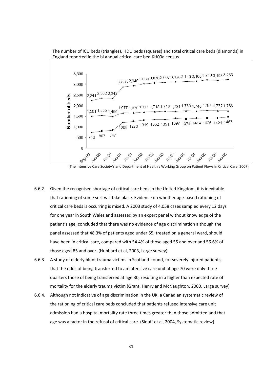



(The Intensive Care Society's and Department of Health's Working Group on Patient Flows in Critical Care, 2007)

- 6.6.2. Given the recognised shortage of critical care beds in the United Kingdom, it is inevitable that rationing of some sort will take place. Evidence on whether age‐based rationing of critical care beds is occurring is mixed. A 2003 study of 4,058 cases sampled every 12 days for one year in South Wales and assessed by an expert panel without knowledge of the patient's age, concluded that there was no evidence of age discrimination although the panel assessed that 48.3% of patients aged under 55, treated on a general ward, should have been in critical care, compared with 54.4% of those aged 55 and over and 56.6% of those aged 85 and over. (Hubbard et al, 2003, Large survey)
- 6.6.3. A study of elderly blunt trauma victims in Scotland found, for severely injured patients, that the odds of being transferred to an intensive care unit at age 70 were only three quarters those of being transferred at age 30, resulting in a higher than expected rate of mortality for the elderly trauma victim (Grant, Henry and McNaughton, 2000, Large survey)
- 6.6.4. Although not indicative of age discrimination in the UK, a Canadian systematic review of the rationing of critical care beds concluded that patients refused intensive care unit admission had a hospital mortality rate three times greater than those admitted and that age was a factor in the refusal of critical care. (Sinuff et al, 2004, Systematic review)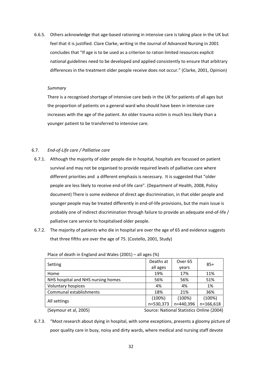6.6.5. Others acknowledge that age‐based rationing in intensive care is taking place in the UK but feel that it is justified. Clare Clarke, writing in the Journal of Advanced Nursing in 2001 concludes that "If age is to be used as a criterion to ration limited resources explicit national guidelines need to be developed and applied consistently to ensure that arbitrary differences in the treatment older people receive does not occur." (Clarke, 2001, Opinion)

#### *Summary*

There is a recognised shortage of intensive care beds in the UK for patients of all ages but the proportion of patients on a general ward who should have been in intensive care increases with the age of the patient. An older trauma victim is much less likely than a younger patient to be transferred to intensive care.

# 6.7. *End‐of‐Life care / Palliative care*

- 6.7.1. Although the majority of older people die in hospital, hospitals are focussed on patient survival and may not be organised to provide required levels of palliative care where different priorities and a different emphasis is necessary. It is suggested that "older people are less likely to receive end‐of‐life care". (Department of Health, 2008, Policy document) There is some evidence of direct age discrimination, in that older people and younger people may be treated differently in end‐of‐life provisions, but the main issue is probably one of indirect discrimination through failure to provide an adequate end-of-life / palliative care service to hospitalised older people.
- 6.7.2. The majority of patients who die in hospital are over the age of 65 and evidence suggests that three fifths are over the age of 75. (Costello, 2001, Study)

| Setting                            | Deaths at                                 | Over <sub>65</sub> | $85+$     |  |
|------------------------------------|-------------------------------------------|--------------------|-----------|--|
|                                    | all ages                                  | years              |           |  |
| Home                               | 19%                                       | 17%                | 11%       |  |
| NHS hospital and NHS nursing homes | 56%                                       | 56%                | 51%       |  |
| <b>Voluntary hospices</b>          | 4%                                        | 4%                 | 1%        |  |
| Communal establishments            | 18%                                       | 21%                | 36%       |  |
|                                    | (100%)                                    | (100%)             | (100%)    |  |
| All settings                       | n=530,373                                 | n=440,396          | n=166,618 |  |
| (Seymour et al, 2005)              | Source: National Statistics Online (2004) |                    |           |  |

Place of death in England and Wales (2001) – all ages (%)

6.7.3. "Most research about dying in hospital, with some exceptions, presents a gloomy picture of poor quality care in busy, noisy and dirty wards, where medical and nursing staff devote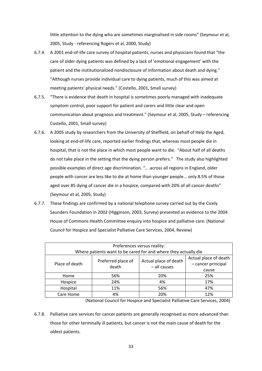little attention to the dying who are sometimes marginalised in side rooms" (Seymour et al, 2005, Study ‐ referencing Rogers et al, 2000, Study)

- 6.7.4. A 2001 end‐of‐life care survey of hospital patients, nurses and physicians found that "the care of older dying patients was defined by a lack of 'emotional engagement' with the patient and the institutionalized nondisclosure of information about death and dying." "Although nurses provide individual care to dying patients, much of this was aimed at meeting patients' physical needs." (Costello, 2001, Small survey)
- 6.7.5. "There is evidence that death in hospital is sometimes poorly managed with inadequate symptom control, poor support for patient and carers and little clear and open communication about prognosis and treatment." (Seymour et al, 2005, Study – referencing Costello, 2001, Small survey)
- 6.7.6. A 2005 study by researchers from the University of Sheffield, on behalf of Help the Aged, looking at end‐of‐life care, reported earlier findings that, whereas most people die in hospital, that is not the place in which most people want to die. "About half of all deaths do not take place in the setting that the dying person prefers." The study also highlighted possible examples of direct age discrimination. ".. .across all regions in England, older people with cancer are less like to die at home than younger people... only 8.5% of those aged over 85 dying of cancer die in a hospice, compared with 20% of all cancer deaths" (Seymour et al, 2005, Study)
- 6.7.7. These findings are confirmed by a national telephone survey carried out by the Cicely Saunders Foundation in 2002 (Higginson, 2003, Survey) presented as evidence to the 2004 House of Commons Health Committee enquiry into hospice and palliative care. (National Council for Hospice and Specialist Palliative Care Services, 2004, Review)

| Preferences versus reality:<br>Where patients want to be cared for and where they actually die |                    |                       |                       |  |  |  |
|------------------------------------------------------------------------------------------------|--------------------|-----------------------|-----------------------|--|--|--|
|                                                                                                |                    |                       |                       |  |  |  |
|                                                                                                | Preferred place of | Actual place of death | Actual place of death |  |  |  |
| Place of death<br>death                                                                        | - all causes       | - cancer principal    |                       |  |  |  |
|                                                                                                |                    |                       | cause                 |  |  |  |
| Home                                                                                           | 56%                | 20%                   | 25%                   |  |  |  |
| Hospice                                                                                        | 24%                | 4%                    | 17%                   |  |  |  |
| Hospital                                                                                       | 11%                | 56%                   | 47%                   |  |  |  |
| Care Home                                                                                      | 4%                 | 20%                   | 12%                   |  |  |  |

(National Council for Hospice and Specialist Palliative Care Services, 2004)

6.7.8. Palliative care services for cancer patients are generally recognised as more advanced than those for other terminally ill patients, but cancer is not the main cause of death for the oldest patients.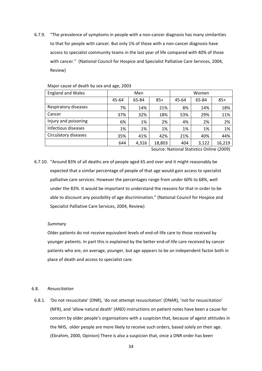6.7.9. "The prevalence of symptoms in people with a non‐cancer diagnosis has many similarities to that for people with cancer. But only 1% of those with a non-cancer diagnosis have access to specialist community teams in the last year of life compared with 40% of those with cancer." (National Council for Hospice and Specialist Palliative Care Services, 2004, Review)

| <b>England and Wales</b> | Men<br>Women |       |        |       |       |        |
|--------------------------|--------------|-------|--------|-------|-------|--------|
|                          | 45-64        | 65-84 | $85+$  | 45-64 | 65-84 | $85+$  |
| Respiratory diseases     | 7%           | 14%   | 21%    | 8%    | 14%   | 18%    |
| Cancer                   | 37%          | 32%   | 18%    | 53%   | 29%   | 11%    |
| Injury and poisoning     | 6%           | 1%    | 2%     | 4%    | 2%    | 2%     |
| Infectious diseases      | 1%           | 1%    | 1%     | 1%    | 1%    | 1%     |
| Circulatory diseases     | 35%          | 41%   | 42%    | 21%   | 40%   | 44%    |
|                          | 644          | 4,316 | 18,803 | 404   | 3,122 | 16,219 |

#### Major cause of death by sex and age, 2003

Source: National Statistics Online (2009)

6.7.10. "Around 83% of all deaths are of people aged 65 and over and it might reasonably be expected that a similar percentage of people of that age would gain access to specialist palliative care services. However the percentages range from under 60% to 68%, well under the 83%. It would be important to understand the reasons for that in order to be able to discount any possibility of age discrimination." (National Council for Hospice and Specialist Palliative Care Services, 2004, Review)

#### *Summary*

Older patients do not receive equivalent levels of end‐of‐life care to those received by younger patients. In part this is explained by the better end‐of‐life care received by cancer patients who are, on average, younger, but age appears to be an independent factor both in place of death and access to specialist care.

#### 6.8. *Resuscitation*

6.8.1. 'Do not resuscitate' (DNR), 'do not attempt resuscitation' (DNAR), 'not for resuscitation' (NFR), and 'allow natural death' (AND) instructions on patient notes have been a cause for concern by older people's organisations with a suspicion that, because of ageist attitudes in the NHS, older people are more likely to receive such orders, based solely on their age. (Ebrahim, 2000, Opinion) There is also a suspicion that, once a DNR order has been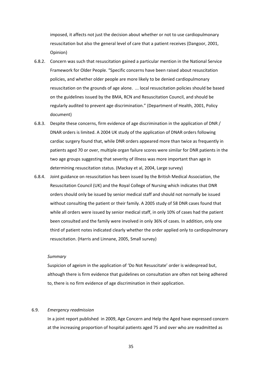imposed, it affects not just the decision about whether or not to use cardiopulmonary resuscitation but also the general level of care that a patient receives (Dangoor, 2001, Opinion)

- 6.8.2. Concern was such that resuscitation gained a particular mention in the National Service Framework for Older People. "Specific concerns have been raised about resuscitation policies, and whether older people are more likely to be denied cardiopulmonary resuscitation on the grounds of age alone. ... local resuscitation policies should be based on the guidelines issued by the BMA, RCN and Resuscitation Council, and should be regularly audited to prevent age discrimination." (Department of Health, 2001, Policy document)
- 6.8.3. Despite these concerns, firm evidence of age discrimination in the application of DNR / DNAR orders is limited. A 2004 UK study of the application of DNAR orders following cardiac surgery found that, while DNR orders appeared more than twice as frequently in patients aged 70 or over, multiple organ failure scores were similar for DNR patients in the two age groups suggesting that severity of illness was more important than age in determining resuscitation status. (Mackay et al, 2004, Large survey)
- 6.8.4. Joint guidance on resuscitation has been issued by the British Medical Association, the Resuscitation Council (UK) and the Royal College of Nursing which indicates that DNR orders should only be issued by senior medical staff and should not normally be issued without consulting the patient or their family. A 2005 study of 58 DNR cases found that while all orders were issued by senior medical staff, in only 10% of cases had the patient been consulted and the family were involved in only 36% of cases. In addition, only one third of patient notes indicated clearly whether the order applied only to cardiopulmonary resuscitation. (Harris and Linnane, 2005, Small survey)

#### *Summary*

Suspicion of ageism in the application of 'Do Not Resuscitate' order is widespread but, although there is firm evidence that guidelines on consultation are often not being adhered to, there is no firm evidence of age discrimination in their application.

# 6.9. *Emergency readmission*

In a joint report published in 2009, Age Concern and Help the Aged have expressed concern at the increasing proportion of hospital patients aged 75 and over who are readmitted as

35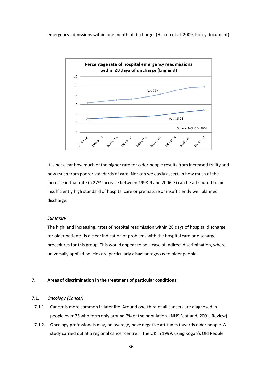emergency admissions within one month of discharge. (Harrop et al, 2009, Policy document)



It is not clear how much of the higher rate for older people results from increased frailty and how much from poorer standards of care. Nor can we easily ascertain how much of the increase in that rate (a 27% increase between 1998‐9 and 2006‐7) can be attributed to an insufficiently high standard of hospital care or premature or insufficiently well planned discharge.

#### *Summary*

The high, and increasing, rates of hospital readmission within 28 days of hospital discharge, for older patients, is a clear indication of problems with the hospital care or discharge procedures for this group. This would appear to be a case of indirect discrimination, where universally applied policies are particularly disadvantageous to older people.

#### 7. **Areas of discrimination in the treatment of particular conditions**

#### 7.1. *Oncology (Cancer)*

- 7.1.1. Cancer is more common in later life. Around one-third of all cancers are diagnosed in people over 75 who form only around 7% of the population. (NHS Scotland, 2001, Review)
- 7.1.2. Oncology professionals may, on average, have negative attitudes towards older people. A study carried out at a regional cancer centre in the UK in 1999, using Kogan's Old People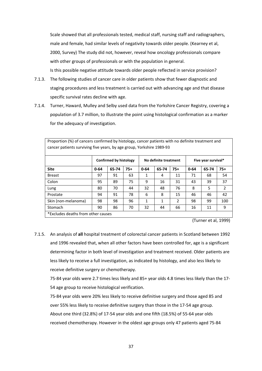Scale showed that all professionals tested, medical staff, nursing staff and radiographers, male and female, had similar levels of negativity towards older people. (Kearney et al, 2000, Survey) The study did not, however, reveal how oncology professionals compare with other groups of professionals or with the population in general. Is this possible negative attitude towards older people reflected in service provision?

- 7.1.3. The following studies of cancer care in older patients show that fewer diagnostic and staging procedures and less treatment is carried out with advancing age and that disease specific survival rates decline with age.
- 7.1.4. Turner, Haward, Mulley and Selby used data from the Yorkshire Cancer Registry, covering a population of 3.7 million, to illustrate the point using histological confirmation as a marker for the adequacy of investigation.

Proportion (%) of cancers confirmed by histology, cancer patients with no definite treatment and

| cancer patients surviving five years, by age group, Yorkshire 1989-93 |          |                               |       |          |                       |                |          |                     |                |  |
|-----------------------------------------------------------------------|----------|-------------------------------|-------|----------|-----------------------|----------------|----------|---------------------|----------------|--|
|                                                                       |          | <b>Confirmed by histology</b> |       |          | No definite treatment |                |          | Five year survival* |                |  |
| <b>Site</b>                                                           | $0 - 64$ | 65-74                         | $75+$ | $0 - 64$ | 65-74                 | $75+$          | $0 - 64$ | 65-74               | $75+$          |  |
| <b>Breast</b>                                                         | 97       | 91                            | 63    | 1        | 4                     | 11             | 71       | 68                  | 54             |  |
| Colon                                                                 | 95       | 89                            | 75    | 9        | 16                    | 31             | 43       | 39                  | 37             |  |
| Lung                                                                  | 80       | 70                            | 44    | 32       | 48                    | 76             | 8        | 5                   | $\mathfrak{p}$ |  |
| Prostate                                                              | 94       | 91                            | 78    | 6        | 8                     | 15             | 46       | 46                  | 42             |  |
| Skin (non-melanoma)                                                   | 98       | 98                            | 96    | 1        | 1                     | $\mathfrak{p}$ | 98       | 99                  | 100            |  |
| Stomach                                                               | 90       | 86                            | 70    | 32       | 44                    | 66             | 16       | 11                  | 9              |  |
| *Excludes deaths from other causes                                    |          |                               |       |          |                       |                |          |                     |                |  |

(Turner et al, 1999)

7.1.5. An analysis of **all** hospital treatment of colorectal cancer patients in Scotland between 1992 and 1996 revealed that, when all other factors have been controlled for, age is a significant determining factor in both level of investigation and treatment received. Older patients are less likely to receive a full investigation, as indicated by histology, and also less likely to receive definitive surgery or chemotherapy.

75‐84 year olds were 2.7 times less likely and 85+ year olds 4.8 times less likely than the 17‐ 54 age group to receive histological verification.

75‐84 year olds were 20% less likely to receive definitive surgery and those aged 85 and over 55% less likely to receive definitive surgery than those in the 17‐54 age group. About one third (32.8%) of 17‐54 year olds and one fifth (18.5%) of 55‐64 year olds received chemotherapy. However in the oldest age groups only 47 patients aged 75‐84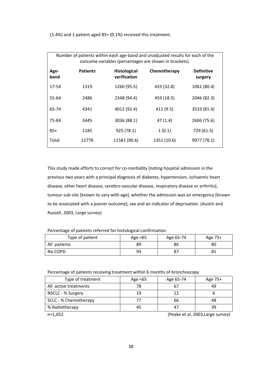(1.4%) and 1 patient aged 85+ (0.1%) received this treatment.

| Number of patients within each age-band and unadjusted results for each of the<br>outcome variables (percentages are shown in brackets). |                 |                                     |              |                              |  |  |
|------------------------------------------------------------------------------------------------------------------------------------------|-----------------|-------------------------------------|--------------|------------------------------|--|--|
| Age-<br>band                                                                                                                             | <b>Patients</b> | <b>Histological</b><br>verification | Chemotherapy | <b>Definitive</b><br>surgery |  |  |
| 17-54                                                                                                                                    | 1319            | 1260 (95.5)                         | 433 (32.8)   | 1061 (80.4)                  |  |  |
| 55-64                                                                                                                                    | 2486            | 2348 (94.4)                         | 459 (18.5)   | 2046 (82.3)                  |  |  |
| 65-74                                                                                                                                    | 4341            | 4012 (92.4)                         | 411 (9.5)    | 3533 (81.4)                  |  |  |
| 75-84                                                                                                                                    | 3445            | 3036 (88.1)                         | 47(1.4)      | 2606 (75.6)                  |  |  |
| $85+$                                                                                                                                    | 1185            | 925 (78.1)                          | 1(0.1)       | 729 (61.5)                   |  |  |
| Total                                                                                                                                    | 12776           | 11581 (90.6)                        | 1351 (10.6)  | 9977 (78.1)                  |  |  |

This study made efforts to correct for co-morbidity [noting hospital admission in the previous two years with a principal diagnosis of diabetes, hypertension, ischaemic heart disease, other heart disease, cerebro-vascular disease, respiratory disease or arthritis], tumour sub-site [known to vary with age], whether the admission was an emergency [known to be associated with a poorer outcome], sex and an indicator of deprivation. (Austin and Russell, 2003, Large survey)

Percentage of patients referred for histological confirmation

| Type of patient | Age $<65$ | Age 65-74 | Age 75+ |
|-----------------|-----------|-----------|---------|
| All patients    | 89        | 86        | 80      |
| No COPD         | 93        | 87        |         |

Percentage of patients receiving treatment within 6 months of bronchoscopy

| Type of treatment     | Age $<65$ | Age 65-74 | Age 75+ |
|-----------------------|-----------|-----------|---------|
| All active treatments | 78        | 67        | 49      |
| NSCLC - % Surgery     | 19        | 12        |         |
| SCLC - % Chemotherapy |           | 66        |         |
| % Radiotherapy        |           | 47        | 39      |

n=1,652 (Peake et al, 2003,Large survey)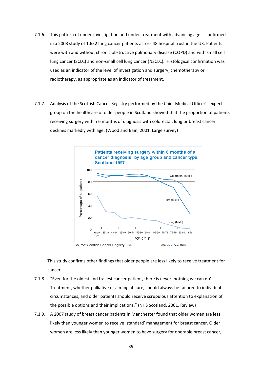- 7.1.6. This pattern of under‐investigation and under‐treatment with advancing age is confirmed in a 2003 study of 1,652 lung cancer patients across 48 hospital trust in the UK. Patients were with and without chronic obstructive pulmonary disease (COPD) and with small cell lung cancer (SCLC) and non‐small cell lung cancer (NSCLC). Histological confirmation was used as an indicator of the level of investigation and surgery, chemotherapy or radiotherapy, as appropriate as an indicator of treatment.
- 7.1.7. Analysis of the Scottish Cancer Registry performed by the Chief Medical Officer's expert group on the healthcare of older people in Scotland showed that the proportion of patients receiving surgery within 6 months of diagnosis with colorectal, lung or breast cancer declines markedly with age. (Wood and Bain, 2001, Large survey)



This study confirms other findings that older people are less likely to receive treatment for cancer.

- 7.1.8. "Even for the oldest and frailest cancer patient, there is never 'nothing we can do'. Treatment, whether palliative or aiming at cure, should always be tailored to individual circumstances, and older patients should receive scrupulous attention to explanation of the possible options and their implications." (NHS Scotland, 2001, Review)
- 7.1.9. A 2007 study of breast cancer patients in Manchester found that older women are less likely than younger women to receive 'standard' management for breast cancer. Older women are less likely than younger women to have surgery for operable breast cancer,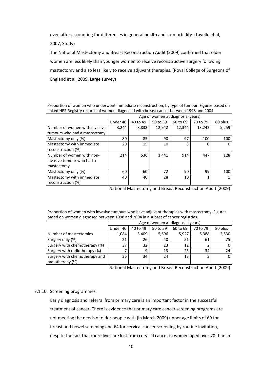even after accounting for differences in general health and co-morbidity. (Lavelle et al,

2007, Study)

The National Mastectomy and Breast Reconstruction Audit (2009) confirmed that older women are less likely than younger women to receive reconstructive surgery following mastectomy and also less likely to receive adjuvant therapies. (Royal College of Surgeons of England et al, 2009, Large survey)

Proportion of women who underwent immediate reconstruction, by type of tumour. Figures based on linked HES‐Registry records of women diagnosed with breast cancer between 1998 and 2004

|                               |          | Age of women at diagnosis (years) |          |          |          |         |
|-------------------------------|----------|-----------------------------------|----------|----------|----------|---------|
|                               | Under 40 | 40 to 49                          | 50 to 59 | 60 to 69 | 70 to 79 | 80 plus |
| Number of women with invasive | 3,244    | 8,833                             | 12,942   | 12.344   | 13,242   | 5,259   |
| tumours who had a mastectomy  |          |                                   |          |          |          |         |
| Mastectomy only (%)           | 80       | 85                                | 90       | 97       | 100      | 100     |
| Mastectomy with immediate     | 20       | 15                                | 10       | 3        | 0        | 0       |
| reconstruction (%)            |          |                                   |          |          |          |         |
| Number of women with non-     | 214      | 536                               | 1,441    | 914      | 447      | 128     |
| invasive tumour who had a     |          |                                   |          |          |          |         |
| mastectomy                    |          |                                   |          |          |          |         |
| Mastectomy only (%)           | 60       | 60                                | 72       | 90       | 99       | 100     |
| Mastectomy with immediate     | 40       | 40                                | 28       | 10       |          |         |
| reconstruction (%)            |          |                                   |          |          |          |         |

National Mastectomy and Breast Reconstruction Audit (2009)

Proportion of women with invasive tumours who have adjuvant therapies with mastectomy. Figures based on women diagnosed between 1998 and 2004 in a subset of cancer registries.

|                               |          | Age of women at diagnosis (years) |          |          |          |         |  |
|-------------------------------|----------|-----------------------------------|----------|----------|----------|---------|--|
|                               | Under 40 | 40 to 49                          | 50 to 59 | 60 to 69 | 70 to 79 | 80 plus |  |
| Number of mastectomies        | 1.084    | 3,409                             | 5,696    | 5.927    | 6,388    | 2,530   |  |
| Surgery only (%)              | 21       | 26                                | 40       | 51       | 61       | 75      |  |
| Surgery with chemotherapy (%) | 37       | 32                                | 23       | 12       |          |         |  |
| Surgery with radiotherapy (%) |          | 9                                 | 13       | 25       | 34       | 24      |  |
| Surgery with chemotherapy and | 36       | 34                                | 24       | 13       | 3        | 0       |  |
| radiotherapy (%)              |          |                                   |          |          |          |         |  |

National Mastectomy and Breast Reconstruction Audit (2009)

# 7.1.10. Screening programmes

Early diagnosis and referral from primary care is an important factor in the successful treatment of cancer. There is evidence that primary care cancer screening programs are not meeting the needs of older people with (in March 2009) upper age limits of 69 for breast and bowel screening and 64 for cervical cancer screening by routine invitation, despite the fact that more lives are lost from cervical cancer in women aged over 70 than in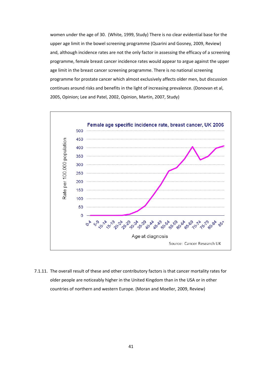women under the age of 30. (White, 1999, Study) There is no clear evidential base for the upper age limit in the bowel screening programme (Quarini and Gosney, 2009, Review) and, although incidence rates are not the only factor in assessing the efficacy of a screening programme, female breast cancer incidence rates would appear to argue against the upper age limit in the breast cancer screening programme. There is no national screening programme for prostate cancer which almost exclusively affects older men, but discussion continues around risks and benefits in the light of increasing prevalence. (Donovan et al, 2005, Opinion; Lee and Patel, 2002, Opinion, Martin, 2007, Study)



7.1.11. The overall result of these and other contributory factors is that cancer mortality rates for older people are noticeably higher in the United Kingdom than in the USA or in other countries of northern and western Europe. (Moran and Moeller, 2009, Review)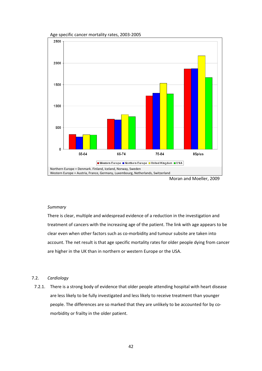

Moran and Moeller, 2009

#### *Summary*

There is clear, multiple and widespread evidence of a reduction in the investigation and treatment of cancers with the increasing age of the patient. The link with age appears to be clear even when other factors such as co-morbidity and tumour subsite are taken into account. The net result is that age specific mortality rates for older people dying from cancer are higher in the UK than in northern or western Europe or the USA.

# 7.2. *Cardiology*

7.2.1. There is a strong body of evidence that older people attending hospital with heart disease are less likely to be fully investigated and less likely to receive treatment than younger people. The differences are so marked that they are unlikely to be accounted for by co‐ morbidity or frailty in the older patient.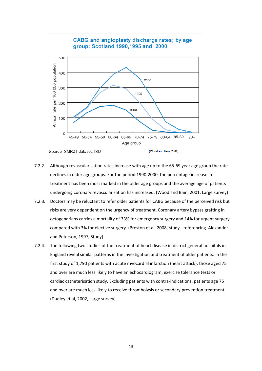

Source: SMR01 dataset, ISD

(Wood and Bain, 2001)

- 7.2.2. Although revascularisation rates increase with age up to the 65‐69 year age group the rate declines in older age groups. For the period 1990‐2000, the percentage increase in treatment has been most marked in the older age groups and the average age of patients undergoing coronary revascularisation has increased. (Wood and Bain, 2001, Large survey)
- 7.2.3. Doctors may be reluctant to refer older patients for CABG because of the perceived risk but risks are very dependent on the urgency of treatment. Coronary artery bypass grafting in octogenarians carries a mortality of 33% for emergency surgery and 14% for urgent surgery compared with 3% for elective surgery. (Preston et al, 2008, study ‐ referencing Alexander and Peterson, 1997, Study)
- 7.2.4. The following two studies of the treatment of heart disease in district general hospitals in England reveal similar patterns in the investigation and treatment of older patients. In the first study of 1,790 patients with acute myocardial infarction (heart attack), those aged 75 and over are much less likely to have an echocardiogram, exercise tolerance tests or cardiac catheterisation study. Excluding patients with contra-indications, patients age 75 and over are much less likely to receive thrombolysis or secondary prevention treatment. (Dudley et al, 2002, Large survey)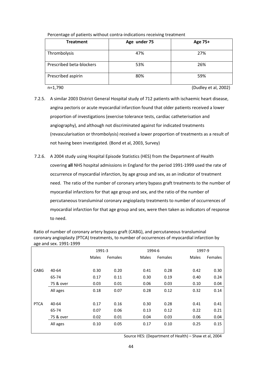| T CITCHILD FOR THE PROGRESS OF PARTICIPS WILLING COTTLE AT INTERNATIONS TECENTIFY OF CHILDREN CHI |              |         |  |  |  |  |
|---------------------------------------------------------------------------------------------------|--------------|---------|--|--|--|--|
| <b>Treatment</b>                                                                                  | Age under 75 | Age 75+ |  |  |  |  |
| Thrombolysis                                                                                      | 47%          | 27%     |  |  |  |  |
| Prescribed beta-blockers                                                                          | 53%          | 26%     |  |  |  |  |

Prescribed aspirin Theory 30% Figure 20% Figure 30% S9%

Percentage of patients without contra‐indications receiving treatment

n=1,790 (Dudley et al, 2002)

7.2.5. A similar 2003 District General Hospital study of 712 patients with ischaemic heart disease, angina pectoris or acute myocardial infarction found that older patients received a lower proportion of investigations (exercise tolerance tests, cardiac catheterisation and angiography), and although not discriminated against for indicated treatments (revascularisation or thrombolysis) received a lower proportion of treatments as a result of not having been investigated. (Bond et al, 2003, Survey)

7.2.6. A 2004 study using Hospital Episode Statistics (HES) from the Department of Health covering **all** NHS hospital admissions in England for the period 1991‐1999 used the rate of occurrence of myocardial infarction, by age group and sex, as an indicator of treatment need. The ratio of the number of coronary artery bypass graft treatments to the number of myocardial infarctions for that age group and sex, and the ratio of the number of percutaneous transluminal coronary angioplasty treatments to number of occurrences of myocardial infarction for that age group and sex, were then taken as indicators of response to need.

Ratio of number of coronary artery bypass graft (CABG), and percutaneous transluminal coronary angioplasty (PTCA) treatments, to number of occurrences of myocardial infarction by age and sex. 1991‐1999

|             |           | 1991-3       |                | 1994-6       |         | 1997-9       |         |
|-------------|-----------|--------------|----------------|--------------|---------|--------------|---------|
|             |           | <b>Males</b> | <b>Females</b> | <b>Males</b> | Females | <b>Males</b> | Females |
|             |           |              |                |              |         |              |         |
| <b>CABG</b> | 40-64     | 0.30         | 0.20           | 0.41         | 0.28    | 0.42         | 0.30    |
|             | 65-74     | 0.17         | 0.11           | 0.30         | 0.19    | 0.40         | 0.24    |
|             | 75 & over | 0.03         | 0.01           | 0.06         | 0.03    | 0.10         | 0.04    |
|             | All ages  | 0.18         | 0.07           | 0.28         | 0.12    | 0.32         | 0.14    |
|             |           |              |                |              |         |              |         |
| <b>PTCA</b> | 40-64     | 0.17         | 0.16           | 0.30         | 0.28    | 0.41         | 0.41    |
|             | 65-74     | 0.07         | 0.06           | 0.13         | 0.12    | 0.22         | 0.21    |
|             | 75 & over | 0.02         | 0.01           | 0.04         | 0.03    | 0.06         | 0.04    |
|             | All ages  | 0.10         | 0.05           | 0.17         | 0.10    | 0.25         | 0.15    |
|             |           |              |                |              |         |              |         |

Source HES: (Department of Health) – Shaw et al, 2004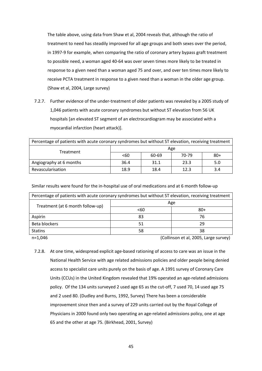The table above, using data from Shaw et al, 2004 reveals that, although the ratio of treatment to need has steadily improved for all age groups and both sexes over the period, in 1997‐9 for example, when comparing the ratio of coronary artery bypass graft treatment to possible need, a woman aged 40‐64 was over seven times more likely to be treated in response to a given need than a woman aged 75 and over, and over ten times more likely to receive PCTA treatment in response to a given need than a woman in the older age group. (Shaw et al, 2004, Large survey)

7.2.7. Further evidence of the under-treatment of older patients was revealed by a 2005 study of 1,046 patients with acute coronary syndromes but without ST elevation from 56 UK hospitals [an elevated ST segment of an electrocardiogram may be associated with a myocardial infarction (heart attack)].

| Percentage of patients with acute coronary syndromes but without ST elevation, receiving treatment |      |       |       |       |  |  |
|----------------------------------------------------------------------------------------------------|------|-------|-------|-------|--|--|
| Treatment                                                                                          | Age  |       |       |       |  |  |
|                                                                                                    | < 60 | 60-69 | 70-79 | $80+$ |  |  |
| Angiography at 6 months                                                                            | 36.4 | 31.1  | 23.3  | 5.0   |  |  |
| Revascularisation                                                                                  | 18.9 | 18.4  | 12.3  | 3.4   |  |  |

Similar results were found for the in‐hospital use of oral medications and at 6 month follow‐up

| Percentage of patients with acute coronary syndromes but without ST elevation, receiving treatment |      |       |  |  |  |  |
|----------------------------------------------------------------------------------------------------|------|-------|--|--|--|--|
| Treatment (at 6 month follow-up)                                                                   | Age  |       |  |  |  |  |
|                                                                                                    | < 60 | $80+$ |  |  |  |  |
| Aspirin                                                                                            | 83   | 76    |  |  |  |  |
| Beta blockers                                                                                      | 51   | 29    |  |  |  |  |
| <b>Statins</b>                                                                                     | 58   | 38    |  |  |  |  |

n=1,046 (Collinson et al, 2005, Large survey)

7.2.8. At one time, widespread explicit age-based rationing of access to care was an issue in the National Health Service with age related admissions policies and older people being denied access to specialist care units purely on the basis of age. A 1991 survey of Coronary Care Units (CCUs) in the United Kingdom revealed that 19% operated an age‐related admissions policy. Of the 134 units surveyed 2 used age 65 as the cut‐off, 7 used 70, 14 used age 75 and 2 used 80. (Dudley and Burns, 1992, Survey) There has been a considerable improvement since then and a survey of 229 units carried out by the Royal College of Physicians in 2000 found only two operating an age‐related admissions policy, one at age 65 and the other at age 75. (Birkhead, 2001, Survey)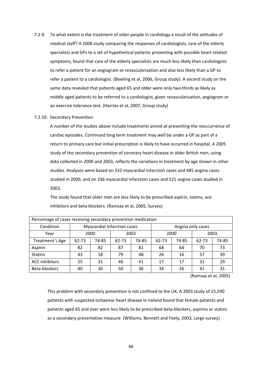- 7.2.9. To what extent is the treatment of older people in cardiology a result of the attitudes of medical staff? A 2006 study comparing the responses of cardiologists, care of the elderly specialists and GPs to a set of hypothetical patients presenting with possible heart related symptoms, found that care of the elderly specialists are much less likely than cardiologists to refer a patient for an angiogram or revascularisation and also less likely than a GP to refer a patient to a cardiologist. (Bowling et al, 2006, Group study). A second study on the same data revealed that patients aged 65 and older were only two-thirds as likely as middle aged patients to be referred to a cardiologist, given revascularisation, angiogram or an exercise tolerance test. (Harries et al, 2007, Group study)
- 7.2.10. Secondary Prevention

A number of the studies above include treatments aimed at preventing the reoccurrence of cardiac episodes. Continued long term treatment may well be under a GP as part of a return to primary care but initial prescription is likely to have occurred in hospital. A 2005 study of the secondary prevention of coronary heart disease in older British men, using data collected in 2000 and 2003, reflects the variations in treatment by age shown in other studies. Analyses were based on 332 myocardial infarction cases and 485 angina cases studied in 2000, and on 336 myocardial infarction cases and 521 angina cases studied in 2003.

The study found that older men are less likely to be prescribed aspirin, statins, ace inhibitors and beta blockers. (Ramsay et al, 2005, Survey)

| Percentage of cases receiving secondary prevention medication |       |                             |       |       |       |                   |       |       |  |
|---------------------------------------------------------------|-------|-----------------------------|-------|-------|-------|-------------------|-------|-------|--|
| Condition                                                     |       | Myocardial Infarction cases |       |       |       | Angina only cases |       |       |  |
| Year                                                          |       | 2000<br>2003                |       |       | 2000  |                   | 2003  |       |  |
| Treatment $\setminus$ Age                                     | 62-73 | 74-85                       | 62-73 | 74-85 | 62-73 | 74-85             | 62-73 | 74-85 |  |
| Aspirin                                                       | 82    | 82                          | 87    | 81    | 68    | 64                | 70    | 73    |  |
| <b>Statins</b>                                                | 43    | 18                          | 79    | 48    | 26    | 16                | 57    | 39    |  |
| <b>ACE inhibitors</b>                                         | 25    | 31                          | 46    | 41    | 17    | 17                | 31    | 29    |  |
| Beta-blockers                                                 | 40    | 30                          | 50    | 36    | 34    | 26                | 41    | 31    |  |

(Ramsay et al, 2005)

This problem with secondary prevention is not confined to the UK. A 2003 study of 15,590 patients with suspected ischaemic heart disease in Ireland found that female patients and patients aged 65 and over were less likely to be prescribed beta‐blockers, aspirins or statins as a secondary preventative measure (Williams, Bennett and Feely, 2003, Large survey)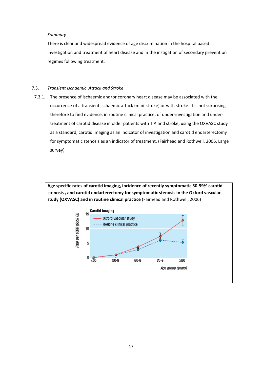# *Summary*

There is clear and widespread evidence of age discrimination in the hospital based investigation and treatment of heart disease and in the instigation of secondary prevention regimes following treatment.

# 7.3. *Transient Ischaemic Attack and Stroke*

7.3.1. The presence of ischaemic and/or coronary heart disease may be associated with the occurrence of a transient ischaemic attack (mini‐stroke) or with stroke. It is not surprising therefore to find evidence, in routine clinical practice, of under‐investigation and under‐ treatment of carotid disease in older patients with TIA and stroke, using the OXVASC study as a standard, carotid imaging as an indicator of investigation and carotid endarterectomy for symptomatic stenosis as an indicator of treatment. (Fairhead and Rothwell, 2006, Large survey)

**Age specific rates of carotid imaging, incidence of recently symptomatic 50‐99% carotid stenosis , and carotid endarterectomy for symptomatic stenosis in the Oxford vascular study (OXVASC) and in routine clinical practice** (Fairhead and Rothwell, 2006)

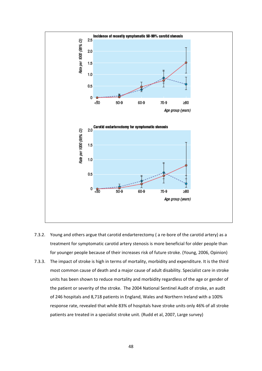

- 7.3.2. Young and others argue that carotid endarterectomy ( a re-bore of the carotid artery) as a treatment for symptomatic carotid artery stenosis is more beneficial for older people than for younger people because of their increases risk of future stroke. (Young, 2006, Opinion)
- 7.3.3. The impact of stroke is high in terms of mortality, morbidity and expenditure. It is the third most common cause of death and a major cause of adult disability. Specialist care in stroke units has been shown to reduce mortality and morbidity regardless of the age or gender of the patient or severity of the stroke. The 2004 National Sentinel Audit of stroke, an audit of 246 hospitals and 8,718 patients in England, Wales and Northern Ireland with a 100% response rate, revealed that while 83% of hospitals have stroke units only 46% of all stroke patients are treated in a specialist stroke unit. (Rudd et al, 2007, Large survey)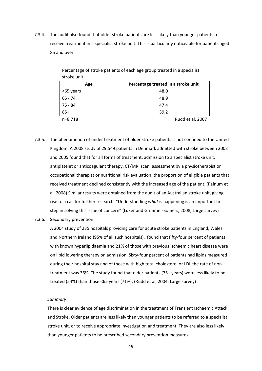7.3.4. The audit also found that older stroke patients are less likely than younger patients to receive treatment in a specialist stroke unit. This is particularly noticeable for patients aged 85 and over.

| 300000000000 |                                     |
|--------------|-------------------------------------|
| Age          | Percentage treated in a stroke unit |
| <65 years    | 48.0                                |
| 65 - 74      | 48.9                                |
| 75 - 84      | 47.4                                |
| $85+$        | 39.2                                |
| $n=8,718$    | Rudd et al, 2007                    |

Percentage of stroke patients of each age group treated in a specialist stroke unit

- 7.3.5. The phenomenon of under treatment of older stroke patients is not confined to the United Kingdom. A 2008 study of 29,549 patients in Denmark admitted with stroke between 2003 and 2005 found that for all forms of treatment, admission to a specialist stroke unit, antiplatelet or anticoagulant therapy, CT/MRI scan, assessment by a physiotherapist or occupational therapist or nutritional risk evaluation, the proportion of eligible patients that received treatment declined consistently with the increased age of the patient. (Palnum et al, 2008) Similar results were obtained from the audit of an Australian stroke unit, giving rise to a call for further research. "Understanding *what* is happening is an important first step in solving this issue of concern" (Luker and Grimmer-Somers, 2008, Large survey)
- 7.3.6. Secondary prevention

A 2004 study of 235 hospitals providing care for acute stroke patients in England, Wales and Northern Ireland (95% of all such hospitals), found that fifty-four percent of patients with known hyperlipidaemia and 21% of those with previous ischaemic heart disease were on lipid lowering therapy on admission. Sixty‐four percent of patients had lipids measured during their hospital stay and of those with high total cholesterol or LDL the rate of non‐ treatment was 36%. The study found that older patients (75+ years) were less likely to be treated (54%) than those <65 years (71%). (Rudd et al, 2004, Large survey)

## *Summary*

There is clear evidence of age discrimination in the treatment of Transient Ischaemic Attack and Stroke. Older patients are less likely than younger patients to be referred to a specialist stroke unit, or to receive appropriate investigation and treatment. They are also less likely than younger patients to be prescribed secondary prevention measures.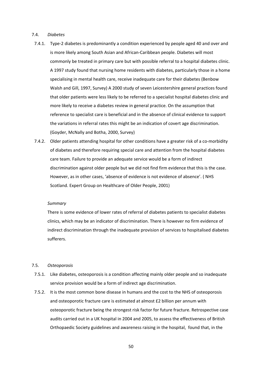## 7.4. *Diabetes*

- 7.4.1. Type‐2 diabetes is predominantly a condition experienced by people aged 40 and over and is more likely among South Asian and African‐Caribbean people. Diabetes will most commonly be treated in primary care but with possible referral to a hospital diabetes clinic. A 1997 study found that nursing home residents with diabetes, particularly those in a home specialising in mental health care, receive inadequate care for their diabetes (Benbow Walsh and Gill, 1997, Survey) A 2000 study of seven Leicestershire general practices found that older patients were less likely to be referred to a specialist hospital diabetes clinic and more likely to receive a diabetes review in general practice. On the assumption that reference to specialist care is beneficial and in the absence of clinical evidence to support the variations in referral rates this might be an indication of covert age discrimination. (Goyder, McNally and Botha, 2000, Survey)
- 7.4.2. Older patients attending hospital for other conditions have a greater risk of a co-morbidity of diabetes and therefore requiring special care and attention from the hospital diabetes care team. Failure to provide an adequate service would be a form of indirect discrimination against older people but we did not find firm evidence that this is the case. However, as in other cases, 'absence of evidence is not evidence of absence'. ( NHS Scotland. Expert Group on Healthcare of Older People, 2001)

# *Summary*

There is some evidence of lower rates of referral of diabetes patients to specialist diabetes clinics, which may be an indicator of discrimination. There is however no firm evidence of indirect discrimination through the inadequate provision of services to hospitalised diabetes sufferers.

# 7.5. *Osteoporosis*

- 7.5.1. Like diabetes, osteoporosis is a condition affecting mainly older people and so inadequate service provision would be a form of indirect age discrimination.
- 7.5.2. It is the most common bone disease in humans and the cost to the NHS of osteoporosis and osteoporotic fracture care is estimated at almost £2 billion per annum with osteoporotic fracture being the strongest risk factor for future fracture. Retrospective case audits carried out in a UK hospital in 2004 and 2005, to assess the effectiveness of British Orthopaedic Society guidelines and awareness raising in the hospital, found that, in the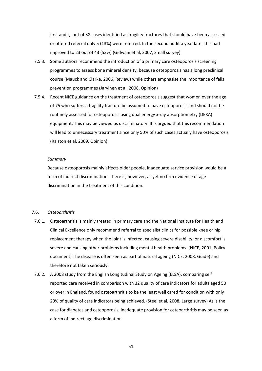first audit, out of 38 cases identified as fragility fractures that should have been assessed or offered referral only 5 (13%) were referred. In the second audit a year later this had improved to 23 out of 43 (53%) (Gidwani et al, 2007, Small survey)

- 7.5.3. Some authors recommend the introduction of a primary care osteoporosis screening programmes to assess bone mineral density, because osteoporosis has a long preclinical course (Mauck and Clarke, 2006, Review) while others emphasise the importance of falls prevention programmes (Jarvinen et al, 2008, Opinion)
- 7.5.4. Recent NICE guidance on the treatment of osteoporosis suggest that women over the age of 75 who suffers a fragility fracture be assumed to have osteoporosis and should not be routinely assessed for osteoporosis using dual energy x-ray absorptiometry (DEXA) equipment. This may be viewed as discriminatory. It is argued that this recommendation will lead to unnecessary treatment since only 50% of such cases actually have osteoporosis (Ralston et al, 2009, Opinion)

#### *Summary*

Because osteoporosis mainly affects older people, inadequate service provision would be a form of indirect discrimination. There is, however, as yet no firm evidence of age discrimination in the treatment of this condition.

## 7.6. *Osteoarthritis*

- 7.6.1. Osteoarthritis is mainly treated in primary care and the National Institute for Health and Clinical Excellence only recommend referral to specialist clinics for possible knee or hip replacement therapy when the joint is infected, causing severe disability, or discomfort is severe and causing other problems including mental health problems. (NICE, 2001, Policy document) The disease is often seen as part of natural ageing (NICE, 2008, Guide) and therefore not taken seriously.
- 7.6.2. A 2008 study from the English Longitudinal Study on Ageing (ELSA), comparing self reported care received in comparison with 32 quality of care indicators for adults aged 50 or over in England, found osteoarthritis to be the least well cared for condition with only 29% of quality of care indicators being achieved. (Steel et al, 2008, Large survey) As is the case for diabetes and osteoporosis, inadequate provision for osteoarthritis may be seen as a form of indirect age discrimination.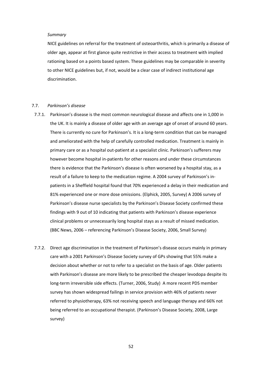### *Summary*

NICE guidelines on referral for the treatment of osteoarthritis, which is primarily a disease of older age, appear at first glance quite restrictive in their access to treatment with implied rationing based on a points based system. These guidelines may be comparable in severity to other NICE guidelines but, if not, would be a clear case of indirect institutional age discrimination.

# 7.7. *Parkinson's disease*

- 7.7.1. Parkinson's disease is the most common neurological disease and affects one in 1,000 in the UK. It is mainly a disease of older age with an average age of onset of around 60 years. There is currently no cure for Parkinson's. It is a long‐term condition that can be managed and ameliorated with the help of carefully controlled medication. Treatment is mainly in primary care or as a hospital out-patient at a specialist clinic. Parkinson's sufferers may however become hospital in‐patients for other reasons and under these circumstances there is evidence that the Parkinson's disease is often worsened by a hospital stay, as a result of a failure to keep to the medication regime. A 2004 survey of Parkinson's in‐ patients in a Sheffield hospital found that 70% experienced a delay in their medication and 81% experienced one or more dose omissions. (Elphick, 2005, Survey) A 2006 survey of Parkinson's disease nurse specialists by the Parkinson's Disease Society confirmed these findings with 9 out of 10 indicating that patients with Parkinson's disease experience clinical problems or unnecessarily long hospital stays as a result of missed medication. (BBC News, 2006 – referencing Parkinson's Disease Society, 2006, Small Survey)
- 7.7.2. Direct age discrimination in the treatment of Parkinson's disease occurs mainly in primary care with a 2001 Parkinson's Disease Society survey of GPs showing that 55% make a decision about whether or not to refer to a specialist on the basis of age. Older patients with Parkinson's disease are more likely to be prescribed the cheaper levodopa despite its long-term irreversible side effects. (Turner, 2006, Study) A more recent PDS member survey has shown widespread failings in service provision with 46% of patients never referred to physiotherapy, 63% not receiving speech and language therapy and 66% not being referred to an occupational therapist. (Parkinson's Disease Society, 2008, Large survey)

52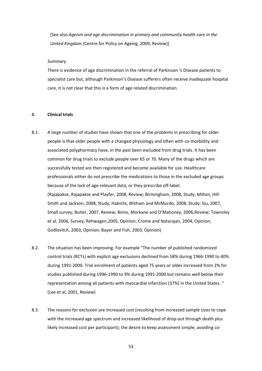[See also *Ageism and age discrimination in primary and community health care in the United Kingdom* (Centre for Policy on Ageing, 2009, Review)]

# *Summary*

There is evidence of age discrimination in the referral of Parkinson 's Disease patients to specialist care but, although Parkinson's Disease sufferers often receive inadequate hospital care, it is not clear that this is a form of age related discrimination.

# 8. **Clinical trials**

- 8.1. A large number of studies have shown that one of the problems in prescribing for older people is that older people with a changed physiology and often with co‐morbidity and associated polypharmacy have, in the past been excluded from drug trials. It has been common for drug trials to exclude people over 65 or 70. Many of the drugs which are successfully tested are then registered and become available for use. Healthcare professionals either do not prescribe the medications to those in the excluded age groups because of the lack of age‐relevant data, or they prescribe off‐label. (Rajapakse, Rajapakse and Playfer, 2008, Review; Birmingham, 2008, Study; Milton, Hill‐ Smith and Jackson, 2008, Study; Habicht, Witham and McMurdo, 2008, Study; Siu, 2007, Small survey; Butler, 2007, Review; Binns, Morkane and O'Mahoney, 2006,Review; Townsley et al, 2006, Survey; Rehwagen,2005, Opinion; Crome and Natarajan, 2004, Opinion; Godlovitch, 2003, Opinion; Bayer and Fish, 2003, Opinion)
- 8.2. The situation has been improving. For example "The number of published randomized control trials (RCTs) with explicit age exclusions declined from 58% during 1966‐1990 to 40% during 1991‐2000. Trial enrolment of patients aged 75 years or older increased from 2% for studies published during 1996‐1990 to 9% during 1991‐2000 but remains well below their representation among all patients with myocardial infarction (37%) in the United States. " (Lee et al, 2001, Review)
- 8.3. The reasons for exclusion are increased cost (resulting from increased sample sizes to cope with the increased age spectrum and increased likelihood of drop‐out through death plus likely increased cost per participant); the desire to keep assessment simple, avoiding co-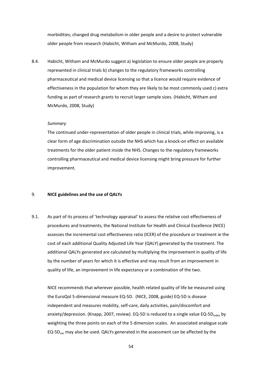morbidities; changed drug metabolism in older people and a desire to protect vulnerable older people from research (Habicht, Witham and McMurdo, 2008, Study)

8.4. Habicht, Witham and McMurdo suggest a) legislation to ensure older people are properly represented in clinical trials b) changes to the regulatory frameworks controlling pharmaceutical and medical device licensing so that a licence would require evidence of effectiveness in the population for whom they are likely to be most commonly used c) extra funding as part of research grants to recruit larger sample sizes. (Habicht, Witham and McMurdo, 2008, Study)

## *Summary*

The continued under-representation of older people in clinical trials, while improving, is a clear form of age discrimination outside the NHS which has a knock‐on effect on available treatments for the older patient inside the NHS. Changes to the regulatory frameworks controlling pharmaceutical and medical device licensing might bring pressure for further improvement.

# 9. **NICE guidelines and the use of QALYs**

9.1. As part of its process of 'technology appraisal' to assess the relative cost effectiveness of procedures and treatments, the National Institute for Health and Clinical Excellence (NICE) assesses the incremental cost effectiveness ratio (ICER) of the procedure or treatment ie the cost of each additional Quality Adjusted Life Year (QALY) generated by the treatment. The additional QALYs generated are calculated by multiplying the improvement in quality of life by the number of years for which it is effective and may result from an improvement in quality of life, an improvement in life expectancy or a combination of the two.

NICE recommends that wherever possible, health related quality of life be measured using the EuroQol 5‐dimensional measure EQ‐5D. (NICE, 2008, guide) EQ‐5D is disease independent and measures mobility, self‐care, daily activities, pain/discomfort and anxiety/depression. (Knapp, 2007, review). EQ-5D is reduced to a single value EQ-5D<sub>index</sub> by weighting the three points on each of the 5 dimension scales. An associated analogue scale  $EG-5D_{\text{vas}}$  may also be used. QALYs generated in the assessment can be affected by the

54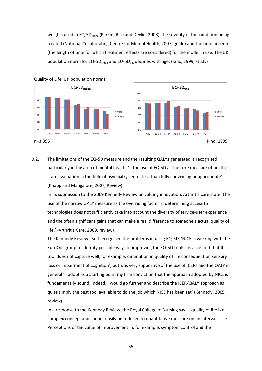weights used in EQ-5D<sub>index</sub> (Parkin, Rice and Devlin, 2008), the severity of the condition being treated (National Collaborating Centre for Mental Health, 2007, guide) and the time horizon (the length of time for which treatment effects are considered) for the model in use. The UK population norm for EQ-5D<sub>index</sub> and EQ-5D<sub>vas</sub> declines with age. (Kind, 1999, study)





9.2. The limitations of the EQ-5D measure and the resulting QALYs generated is recognised particularly in the area of mental health. '...the use of EQ-5D as the core measure of health state evaluation in the field of psychiatry seems less than fully convincing or appropriate' (Knapp and Mangalore, 2007, Review)

In its submission to the 2009 Kennedy Review on valuing innovation, Arthritis Care state 'The use of the narrow QALY measure as the overriding factor in determining access to technologies does not sufficiently take into account the diversity of service‐user experience and the often significant gains that can make a real difference to someone's actual quality of life.' (Arthritis Care, 2009, review)

The Kennedy Review itself recognised the problems in using EQ‐5D, 'NICE is working with the EuroQol group to identify possible ways of improving the EQ-5D tool: it is accepted that this tool does not capture well, for example, diminution in quality of life consequent on sensory loss or impairment of cognition', but was very supportive of the use of ICERs and the QALY in general ' I adopt as a starting point my firm conviction that the approach adopted by NICE is fundamentally sound. Indeed, I would go further and describe the ICER/QALY approach as quite simply the best tool available to do the job which NICE has been set' (Kennedy, 2009, review)

In a response to the Kennedy Review, the Royal College of Nursing say '...quality of life is a complex concept and cannot easily be reduced to quantitative measure on an interval scale. Perceptions of the value of improvement in, for example, symptom control and the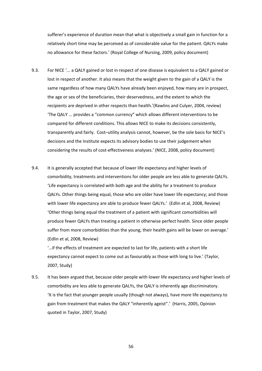sufferer's experience of duration mean that what is objectively a small gain in function for a relatively short time may be perceived as of considerable value for the patient. QALYs make no allowance for these factors.' (Royal College of Nursing, 2009, policy document)

- 9.3. For NICE '... a QALY gained or lost in respect of one disease is equivalent to a QALY gained or lost in respect of another. It also means that the weight given to the gain of a QALY is the same regardless of how many QALYs have already been enjoyed, how many are in prospect, the age or sex of the beneficiaries, their deservedness, and the extent to which the recipients are deprived in other respects than health.'(Rawlins and Culyer, 2004, review) 'The QALY ... provides a "common currency" which allows different interventions to be compared for different conditions. This allows NICE to make its decisions consistently, transparently and fairly. Cost–utility analysis cannot, however, be the sole basis for NICE's decisions and the Institute expects its advisory bodies to use their judgement when considering the results of cost-effectiveness analyses.' (NICE, 2008, policy document)
- 9.4. It is generally accepted that because of lower life expectancy and higher levels of comorbidity, treatments and interventions for older people are less able to generate QALYs. 'Life expectancy is correlated with both age and the ability for a treatment to produce QALYs. Other things being equal, those who are older have lower life expectancy; and those with lower life expectancy are able to produce fewer QALYs.' (Edlin et al, 2008, Review) 'Other things being equal the treatment of a patient with significant comorbidities will produce fewer QALYs than treating a patient in otherwise perfect health. Since older people suffer from more comorbidities than the young, their health gains will be lower on average.' (Edlin et al, 2008, Review)

'…if the effects of treatment are expected to last for life, patients with a short life expectancy cannot expect to come out as favourably as those with long to live.' (Taylor, 2007, Study)

9.5. It has been argued that, because older people with lower life expectancy and higher levels of comorbidity are less able to generate QALYs, the QALY is inherently age discriminatory. 'It is the fact that younger people usually (though not always), have more life expectancy to gain from treatment that makes the QALY "inherently ageist".' (Harris, 2005, Opinion quoted in Taylor, 2007, Study)

56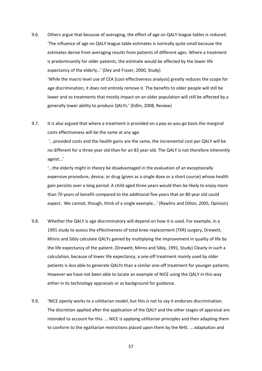- 9.6. Others argue that because of averaging, the effect of age on QALY league tables is reduced. 'The influence of age on QALY league table estimates is normally quite small because the estimates derive from averaging results from patients of different ages. Where a treatment is predominantly for older patients, the estimate would be affected by the lower life expectancy of the elderly…' (Dey and Fraser, 2000, Study) 'While the macro level use of CEA [cost-effectiveness analysis] greatly reduces the scope for age discrimination, it does not entirely remove it. The benefits to older people will still be lower and so treatments that mostly impact on an older population will still be affected by a generally lower ability to produce QALYs.' (Edlin, 2008, Review)
- 9.7. It is also argued that where a treatment is provided on a pay‐as‐you‐go basis the marginal costs effectiveness will be the same at any age.

'...provided costs and the health gains are the same, the incremental cost per QALY will be no different for a three year old than for an 83 year old. The QALY is not therefore inherently ageist...'

'...the elderly might in theory be disadvantaged in the evaluation of an exceptionally expensive procedure, device, or drug (given as a single dose or a short course) whose health gain persists over a long period. A child aged three years would then be likely to enjoy more than 70 years of benefit compared to the additional five years that an 80 year old could expect. We cannot, though, think of a single example...' (Rawlins and Dillon, 2005, Opinion)

- 9.8. Whether the QALY is age discriminatory will depend on how it is used. For example, in a 1991 study to assess the effectiveness of total knee replacement (TKR) surgery, Drewett, Minns and Sibly calculate QALYs gained by multiplying the improvement in quality of life by the life expectancy of the patient. (Drewett, Minns and Sibly, 1991, Study) Clearly in such a calculation, because of lower life expectancy, a one‐off treatment mainly used by older patients is less able to generate QALYs than a similar one‐off treatment for younger patients. However we have not been able to locate an example of NICE using the QALY in this way either in its technology appraisals or as background for guidance.
- 9.9. 'NICE openly works to a utilitarian model, but this is not to say it endorses discrimination. The discretion applied after the application of the QALY and the other stages of appraisal are intended to account for this. … NICE is applying utilitarian principles and then adapting them to conform to the egalitarian restrictions placed upon them by the NHS. … adaptation and

57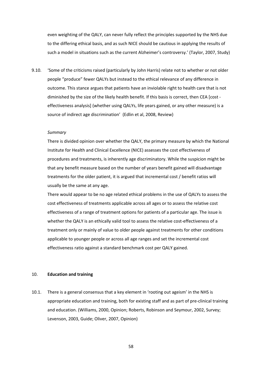even weighting of the QALY, can never fully reflect the principles supported by the NHS due to the differing ethical basis, and as such NICE should be cautious in applying the results of such a model in situations such as the current Alzheimer's controversy.' (Taylor, 2007, Study)

9.10. 'Some of the criticisms raised (particularly by John Harris) relate not to whether or not older people "produce" fewer QALYs but instead to the ethical relevance of any difference in outcome. This stance argues that patients have an inviolable right to health care that is not diminished by the size of the likely health benefit. If this basis is correct, then CEA [cost ‐ effectiveness analysis] (whether using QALYs, life years gained, or any other measure) is a source of indirect age discrimination' (Edlin et al, 2008, Review)

# *Summary*

There is divided opinion over whether the QALY, the primary measure by which the National Institute for Health and Clinical Excellence (NICE) assesses the cost effectiveness of procedures and treatments, is inherently age discriminatory. While the suspicion might be that any benefit measure based on the number of years benefit gained will disadvantage treatments for the older patient, it is argued that incremental cost / benefit ratios will usually be the same at any age.

There would appear to be no age related ethical problems in the use of QALYs to assess the cost effectiveness of treatments applicable across all ages or to assess the relative cost effectiveness of a range of treatment options for patients of a particular age. The issue is whether the QALY is an ethically valid tool to assess the relative cost-effectiveness of a treatment only or mainly of value to older people against treatments for other conditions applicable to younger people or across all age ranges and set the incremental cost effectiveness ratio against a standard benchmark cost per QALY gained.

### 10. **Education and training**

10.1. There is a general consensus that a key element in 'rooting out ageism' in the NHS is appropriate education and training, both for existing staff and as part of pre‐clinical training and education. (Williams, 2000, Opinion; Roberts, Robinson and Seymour, 2002, Survey; Levenson, 2003, Guide; Oliver, 2007, Opinion)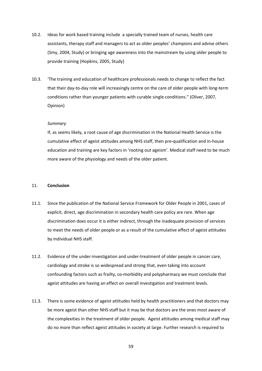- 10.2. Ideas for work based training include a specially trained team of nurses, health care assistants, therapy staff and managers to act as older peoples' champions and advise others (Smy, 2004, Study) or bringing age awareness into the mainstream by using older people to provide training (Hopkins, 2005, Study)
- 10.3. 'The training and education of healthcare professionals needs to change to reflect the fact that their day‐to‐day role will increasingly centre on the care of older people with long‐term conditions rather than younger patients with curable single conditions." (Oliver, 2007, Opinion)

## *Summary*

If, as seems likely, a root cause of age discrimination in the National Health Service is the cumulative effect of ageist attitudes among NHS staff, then pre‐qualification and in‐house education and training are key factors in 'rooting out ageism'. Medical staff need to be much more aware of the physiology and needs of the older patient.

# 11. **Conclusion**

- 11.1. Since the publication of the National Service Framework for Older People in 2001, cases of explicit, direct, age discrimination in secondary health care policy are rare. When age discrimination does occur it is either indirect, through the inadequate provision of services to meet the needs of older people or as a result of the cumulative effect of ageist attitudes by individual NHS staff.
- 11.2. Evidence of the under‐investigation and under‐treatment of older people in cancer care, cardiology and stroke is so widespread and strong that, even taking into account confounding factors such as frailty, co-morbidity and polypharmacy we must conclude that ageist attitudes are having an effect on overall investigation and treatment levels.
- 11.3. There is some evidence of ageist attitudes held by health practitioners and that doctors may be more ageist than other NHS staff but it may be that doctors are the ones most aware of the complexities in the treatment of older people. Ageist attitudes among medical staff may do no more than reflect ageist attitudes in society at large. Further research is required to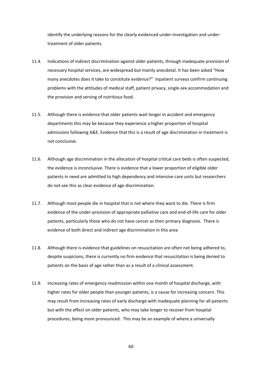identify the underlying reasons for the clearly evidenced under‐investigation and under‐ treatment of older patients.

- 11.4. Indications of indirect discrimination against older patients, through inadequate provision of necessary hospital services, are widespread but mainly anecdotal. It has been asked "How many anecdotes does it take to constitute evidence?" Inpatient surveys confirm continuing problems with the attitudes of medical staff, patient privacy, single‐sex accommodation and the provision and serving of nutritious food.
- 11.5. Although there is evidence that older patients wait longer in accident and emergency departments this may be because they experience a higher proportion of hospital admissions following A&E. Evidence that this is a result of age discrimination in treatment is not conclusive.
- 11.6. Although age discrimination in the allocation of hospital critical care beds is often suspected, the evidence is inconclusive. There is evidence that a lower proportion of eligible older patients in need are admitted to high dependency and intensive care units but researchers do not see this as clear evidence of age discrimination.
- 11.7. Although most people die in hospital that is not where they want to die. There is firm evidence of the under‐provision of appropriate palliative care and end‐of‐life care for older patients, particularly those who do not have cancer as their primary diagnosis. There is evidence of both direct and indirect age discrimination in this area
- 11.8. Although there is evidence that guidelines on resuscitation are often not being adhered to, despite suspicions, there is currently no firm evidence that resuscitation is being denied to patients on the basis of age rather than as a result of a clinical assessment.
- 11.9. Increasing rates of emergency readmission within one month of hospital discharge, with higher rates for older people than younger patients, is a cause for increasing concern. This may result from increasing rates of early discharge with inadequate planning for all patients but with the effect on older patients, who may take longer to recover from hospital procedures, being more pronounced. This may be an example of where a universally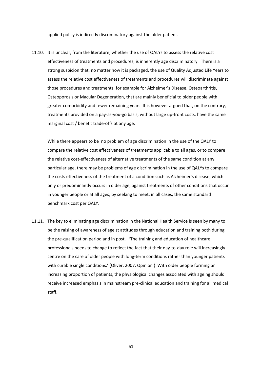applied policy is indirectly discriminatory against the older patient.

11.10. It is unclear, from the literature, whether the use of QALYs to assess the relative cost effectiveness of treatments and procedures, is inherently age discriminatory. There is a strong suspicion that, no matter how it is packaged, the use of Quality Adjusted Life Years to assess the relative cost effectiveness of treatments and procedures will discriminate against those procedures and treatments, for example for Alzheimer's Disease, Osteoarthritis, Osteoporosis or Macular Degeneration, that are mainly beneficial to older people with greater comorbidity and fewer remaining years. It is however argued that, on the contrary, treatments provided on a pay‐as‐you‐go basis, without large up‐front costs, have the same marginal cost / benefit trade‐offs at any age.

While there appears to be no problem of age discrimination in the use of the QALY to compare the relative cost effectiveness of treatments applicable to all ages, or to compare the relative cost‐effectiveness of alternative treatments of the same condition at any particular age, there may be problems of age discrimination in the use of QALYs to compare the costs effectiveness of the treatment of a condition such as Alzheimer's disease, which only or predominantly occurs in older age, against treatments of other conditions that occur in younger people or at all ages, by seeking to meet, in all cases, the same standard benchmark cost per QALY.

11.11. The key to eliminating age discrimination in the National Health Service is seen by many to be the raising of awareness of ageist attitudes through education and training both during the pre‐qualification period and in post. 'The training and education of healthcare professionals needs to change to reflect the fact that their day‐to‐day role will increasingly centre on the care of older people with long‐term conditions rather than younger patients with curable single conditions.' (Oliver, 2007, Opinion ) With older people forming an increasing proportion of patients, the physiological changes associated with ageing should receive increased emphasis in mainstream pre‐clinical education and training for all medical staff.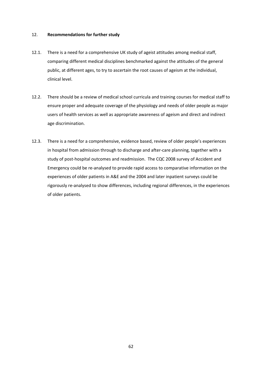# 12. **Recommendations for further study**

- 12.1. There is a need for a comprehensive UK study of ageist attitudes among medical staff, comparing different medical disciplines benchmarked against the attitudes of the general public, at different ages, to try to ascertain the root causes of ageism at the individual, clinical level.
- 12.2. There should be a review of medical school curricula and training courses for medical staff to ensure proper and adequate coverage of the physiology and needs of older people as major users of health services as well as appropriate awareness of ageism and direct and indirect age discrimination.
- 12.3. There is a need for a comprehensive, evidence based, review of older people's experiences in hospital from admission through to discharge and after-care planning, together with a study of post-hospital outcomes and readmission. The CQC 2008 survey of Accident and Emergency could be re‐analysed to provide rapid access to comparative information on the experiences of older patients in A&E and the 2004 and later inpatient surveys could be rigorously re-analysed to show differences, including regional differences, in the experiences of older patients.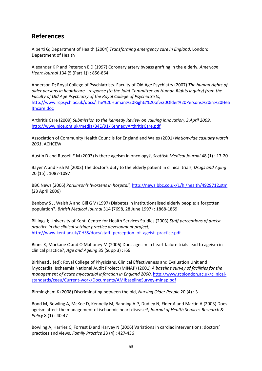# **References**

Alberti G; Department of Health (2004) *Transforming emergency care in England*, London: Department of Health

Alexander K P and Peterson E D (1997) Coronary artery bypass grafting in the elderly, *American Heart Journal* 134 (5 (Part 1)) : 856‐864

Anderson D; Royal College of Psychiatrists. Faculty of Old Age Psychiatry (2007) *The human rights of older persons in healthcare ‐ response [to the Joint Committee on Human Rights inquiry] from the Faculty of Old Age Psychiatry of the Royal College of Psychiatrists*, http://www.rcpsych.ac.uk/docs/The%20Human%20Rights%20of%20Older%20Persons%20in%20Hea lthcare.doc

Arthritis Care (2009) *Submission to the Kennedy Review on valuing innovation, 3 April 2009*, http://www.nice.org.uk/media/B4E/91/KennedyArthritisCare.pdf

Association of Community Health Councils for England and Wales (2001) *Nationwide casualty watch 2001*, ACHCEW

Austin D and Russell E M (2003) Is there ageism in oncology?, *Scottish Medical Journal* 48 (1) : 17‐20

Bayer A and Fish M (2003) The doctor's duty to the elderly patient in clinical trials, *Drugs and Aging* 20 (15) : 1087‐1097

BBC News (2006) *Parkinson's 'worsens in hospital'*, http://news.bbc.co.uk/1/hi/health/4929712.stm (23 April 2006)

Benbow S J, Walsh A and Gill G V (1997) Diabetes in institutionalised elderly people: a forgotten population?, *British Medical Journal* 314 (7698, 28 June 1997) : 1868‐1869

Billings J; University of Kent. Centre for Health Services Studies (2003) *Staff perceptions of ageist practice in the clinical setting: practice development project*, http://www.kent.ac.uk/CHSS/docs/staff\_perception\_of\_ageist\_practice.pdf

Binns K, Morkane C and O'Mahoney M (2006) Does ageism in heart failure trials lead to ageism in clinical practice?, *Age and Ageing* 35 (Supp 3) : i66

Birkhead J (ed); Royal College of Physicians. Clinical Effectiveness and Evaluation Unit and Myocardial Ischaemia National Audit Project (MINAP) (2001) *A baseline survey of facilities for the management of acute myocardial infarction in England 2000*, http://www.rcplondon.ac.uk/clinical‐ standards/ceeu/Current‐work/Documents/AMIbaselineSurvey‐minap.pdf

Birmingham K (2008) Discriminating between the old, *Nursing Older People* 20 (4) : 3

Bond M, Bowling A, McKee D, Kennelly M, Banning A P, Dudley N, Elder A and Martin A (2003) Does ageism affect the management of ischaemic heart disease?, *Journal of Health Services Research & Policy* 8 (1) : 40‐47

Bowling A, Harries C, Forrest D and Harvey N (2006) Variations in cardiac interventions: doctors' practices and views, *Family Practice* 23 (4) : 427‐436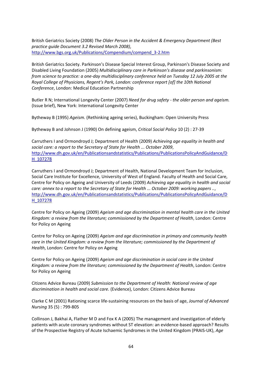British Geriatrics Society (2008) *The Older Person in the Accident & Emergency Department (Best practice guide Document 3.2 Revised March 2008)*, http://www.bgs.org.uk/Publications/Compendium/compend\_3‐2.htm

British Geriatrics Society. Parkinson's Disease Special Interest Group, Parkinson's Disease Society and Disabled Living Foundation (2005) *Multidisciplinary care in Parkinson's disease and parkinsonism:* from science to practice: a one-day multidisciplinary conference held on Tuesday 12 July 2005 at the *Royal College of Physicians, Regent's Park, London: conference report [of] the 10th National Conference*, London: Medical Education Partnership

Butler R N; International Longevity Center (2007) *Need for drug safety ‐ the older person and ageism.* (Issue brief), New York: International Longevity Center

Bytheway B (1995) *Ageism.* (Rethinking ageing series), Buckingham: Open University Press

Bytheway B and Johnson J (1990) On defining ageism, *Critical Social Policy* 10 (2) : 27‐39

Carruthers I and Ormondroyd J; Department of Health (2009) *Achieving age equality in health and social care: a report to the Secretary of State for Health ... October 2009*, http://www.dh.gov.uk/en/Publicationsandstatistics/Publications/PublicationsPolicyAndGuidance/D H\_107278

Carruthers I and Ormondroyd J; Department of Health, National Development Team for Inclusion, Social Care Institute for Excellence, University of West of England. Faculty of Health and Social Care, Centre for Policy on Ageing and University of Leeds (2009) *Achieving age equality in health and social care: annex to a report to the Secretary of State for Health ... October 2009: working papers ..*, http://www.dh.gov.uk/en/Publicationsandstatistics/Publications/PublicationsPolicyAndGuidance/D H\_107278

Centre for Policy on Ageing (2009) *Ageism and age discrimination in mental health care in the United Kingdom: a review from the literature; commissioned by the Department of Health*, London: Centre for Policy on Ageing

Centre for Policy on Ageing (2009) *Ageism and age discrimination in primary and community health care in the United Kingdom: a review from the literature; commissioned by the Department of Health*, London: Centre for Policy on Ageing

Centre for Policy on Ageing (2009) *Ageism and age discrimination in social care in the United Kingdom: a review from the literature; commissioned by the Department of Health*, London: Centre for Policy on Ageing

Citizens Advice Bureau (2009) *Submission to the Department of Health: National review of age discrimination in health and social care.* (Evidence), London: Citizens Advice Bureau

Clarke C M (2001) Rationing scarce life‐sustaining resources on the basis of age, *Journal of Advanced Nursing* 35 (5) : 799‐805

Collinson J, Bakhai A, Flather M D and Fox K A (2005) The management and investigation of elderly patients with acute coronary syndromes without ST elevation: an evidence-based approach? Results of the Prospective Registry of Acute Ischaemic Syndromes in the United Kingdom (PRAIS‐UK), *Age*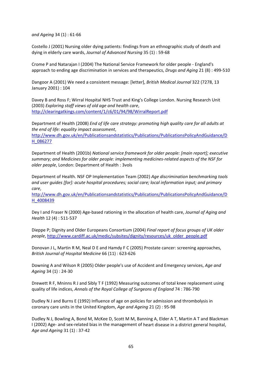*and Ageing* 34 (1) : 61‐66

Costello J (2001) Nursing older dying patients: findings from an ethnographic study of death and dying in elderly care wards, *Journal of Advanced Nursing* 35 (1) : 59‐68

Crome P and Natarajan I (2004) The National Service Framework for older people ‐ England's approach to ending age discrimination in services and therapeutics, *Drugs and Aging* 21 (8) : 499‐510

Dangoor A (2001) We need a consistent message: [letter], *British Medical Journal* 322 (7278, 13 January 2001) : 104

Davey B and Ross F; Wirral Hospital NHS Trust and King's College London. Nursing Research Unit (2003) *Exploring staff views of old age and health care*, http://clearingatkings.com/content/1/c6/01/94/98/WirralReport.pdf

Department of Health (2008) *End of life care strategy: promoting high quality care for all adults at the end of life: equality impact assessment*, http://www.dh.gov.uk/en/Publicationsandstatistics/Publications/PublicationsPolicyAndGuidance/D H\_086277

Department of Health (2001b) *National service framework for older people: [main report]; executive summary; and Medicines for older people: implementing medicines‐related aspects of the NSF for older people*, London: Department of Health : 3vols

Department of Health. NSF OP Implementation Team (2002) *Age discrimination benchmarking tools and user guides [for]: acute hospital procedures; social care; local information input; and primary care*,

http://www.dh.gov.uk/en/Publicationsandstatistics/Publications/PublicationsPolicyAndGuidance/D H\_4008439

Dey I and Fraser N (2000) Age‐based rationing in the allocation of health care, *Journal of Aging and Health* 12 (4) : 511‐537

Dieppe P; Dignity and Older Europeans Consortium (2004) *Final report of focus groups of UK older people*, http://www.cardiff.ac.uk/medic/subsites/dignity/resources/uk\_older\_people.pdf

Donovan J L, Martin R M, Neal D E and Hamdy F C (2005) Prostate cancer: screening approaches, *British Journal of Hospital Medicine* 66 (11) : 623‐626

Downing A and Wilson R (2005) Older people's use of Accident and Emergency services, *Age and Ageing* 34 (1) : 24‐30

Drewett R F, Mninns R J and Sibly T F (1992) Measuring outcomes of total knee replacement using quality of life indices, *Annals of the Royal College of Surgeons of England* 74 : 786‐790

Dudley N J and Burns E (1992) Influence of age on policies for admission and thrombolysis in coronary care units in the United Kingdom, *Age and Ageing* 21 (2) : 95‐98

Dudley N J, Bowling A, Bond M, McKee D, Scott M M, Banning A, Elder A T, Martin A T and Blackman I (2002) Age‐ and sex‐related bias in the management of heart disease in a district general hospital, *Age and Ageing* 31 (1) : 37‐42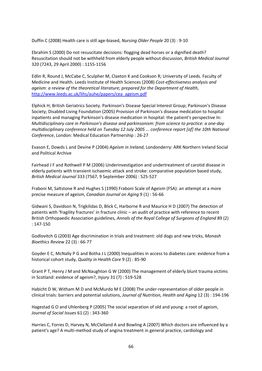Duffin C (2008) Health care is still age‐biased, *Nursing Older People* 20 (3) : 9‐10

Ebrahim S (2000) Do not resuscitate decisions: flogging dead horses or a dignified death? Resuscitation should not be withheld from elderly people without discussion, *British Medical Journal* 320 (7243, 29 April 2000) : 1155‐1156

Edlin R, Round J, McCabe C, Sculpher M, Claxton K and Cookson R; University of Leeds. Faculty of Medicine and Health. Leeds Institute of Health Sciences (2008) *Cost‐effectiveness analysis and ageism: a review of the theoretical literature; prepared for the Department of Health*, http://www.leeds.ac.uk/lihs/auhe/papers/cea\_ageism.pdf

Elphick H; British Geriatrics Society. Parkinson's Disease Special Interest Group; Parkinson's Disease Society; Disabled Living Foundation (2005) Provision of Parkinson's disease medication to hospital inpatients and managing Parkinson's disease medication in hospital: the patient's perspective In: *Multidisciplinary care in Parkinson's disease and parkinsonism: from science to practice: a one‐day multidisciplinary conference held on Tuesday 12 July 2005 ... conference report [of] the 10th National Conference*, London: Medical Education Partnership : 26‐27

Evason E, Dowds L and Devine P (2004) *Ageism in Ireland*, Londonderry: ARK Northern Ireland Social and Political Archive

Fairhead J F and Rothwell P M (2006) Underinvestigation and undertreatment of carotid disease in elderly patients with transient ischaemic attack and stroke: comparative population based study, *British Medical Journal* 333 (7567, 9 September 2006) : 525‐527

Fraboni M, Saltstone R and Hughes S (1990) Fraboni Scale of Ageism (FSA): an attempt at a more precise measure of ageism, *Canadian Journal on Aging* 9 (1) : 56‐66

Gidwani S, Davidson N, Trigkilidas D, Blick C, Harborne R and Maurice H D (2007) The detection of patients with 'fragility fractures' in fracture clinic – an audit of practice with reference to recent British Orthopaedic Association guidelines, *Annals of the Royal College of Surgeons of England* 89 (2) : 147‐150

Godlovitch G (2003) Age discrimination in trials and treatment: old dogs and new tricks, *Monash Bioethics Review* 22 (3) : 66‐77

Goyder E C, McNally P G and Botha J L (2000) Inequalities in access to diabetes care: evidence from a historical cohort study, *Quality in Health Care* 9 (2) : 85‐90

Grant P T, Henry J M and McNaughton G W (2000) The management of elderly blunt trauma victims in Scotland: evidence of ageism?, *Injury* 31 (7) : 519‐528

Habicht D W, Witham M D and McMurdo M E (2008) The under‐representation of older people in clinical trials: barriers and potential solutions, *Journal of Nutrition, Health and Aging* 12 (3) : 194‐196

Hagestad G O and Uhlenberg P (2005) The social separation of old and young: a root of ageism, *Journal of Social Issues* 61 (2) : 343‐360

Harries C, Forres D, Harvey N, McClelland A and Bowling A (2007) Which doctors are influenced by a patient's age? A multi-method study of angina treatment in general practice, cardiology and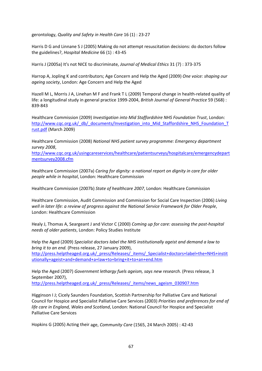gerontology, *Quality and Safety in Health Care* 16 (1) : 23‐27

Harris D G and Linnane S J (2005) Making do not attempt resuscitation decisions: do doctors follow the guidelines?, *Hospital Medicine* 66 (1) : 43‐45

Harris J (2005a) It's not NICE to discriminate, *Journal of Medical Ethics* 31 (7) : 373‐375

Harrop A, Jopling K and contributors; Age Concern and Help the Aged (2009) *One voice: shaping our ageing society*, London: Age Concern and Help the Aged

Hazell M L, Morris J A, Linehan M F and Frank T L (2009) Temporal change in health-related quality of life: a longitudinal study in general practice 1999‐2004, *British Journal of General Practice* 59 (568) : 839‐843

Healthcare Commission (2009) *Investigation into Mid Staffordshire NHS Foundation Trust*, London: http://www.cqc.org.uk/\_db/\_documents/Investigation\_into\_Mid\_Staffordshire\_NHS\_Foundation\_T rust.pdf (March 2009)

Healthcare Commission (2008) *National NHS patient survey programme: Emergency department survey 2008*,

http://www.cqc.org.uk/usingcareservices/healthcare/patientsurveys/hospitalcare/emergencydepart mentsurvey2008.cfm

Healthcare Commission (2007a) *Caring for dignity: a national report on dignity in care for older people while in hospital*, London: Healthcare Commission

Healthcare Commission (2007b) *State of healthcare 2007*, London: Healthcare Commission

Healthcare Commission, Audit Commission and Commission for Social Care Inspection (2006) *Living well in later life: a review of progress against the National Service Framework for Older People*, London: Healthcare Commission

Healy J, Thomas A, Seargeant J and Victor C (2000) *Coming up for care: assessing the post‐hospital needs of older patients*, London: Policy Studies Institute

Help the Aged (2009) *Specialist doctors label the NHS institutionally ageist and demand a law to bring it to an end.* (Press release, 27 January 2009), http://press.helptheaged.org.uk/\_press/Releases/\_items/\_Specialist+doctors+label+the+NHS+instit utionally+ageist+and+demand+a+law+to+bring+it+to+an+end.htm

Help the Aged (2007) *Government lethargy fuels ageism, says new research.* (Press release, 3 September 2007),

http://press.helptheaged.org.uk/\_press/Releases/\_items/news\_ageism\_030907.htm

Higginson I J; Cicely Saunders Foundation, Scottish Partnership for Palliative Care and National Council for Hospice and Specialist Palliative Care Services (2003) *Priorities and preferences for end of life care in England, Wales and Scotland*, London: National Council for Hospice and Specialist Palliative Care Services

Hopkins G (2005) Acting their age, *Community Care* (1565, 24 March 2005) : 42‐43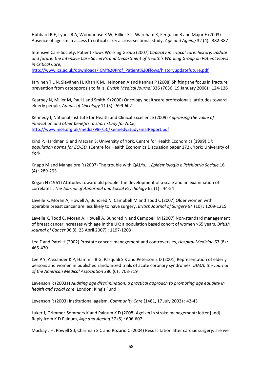Hubbard R E, Lyons R A, Woodhouse K W, Hillier S L, Wareham K, Ferguson B and Major E (2003) Absence of ageism in access to critical care: a cross‐sectional study, *Age and Ageing* 32 (4) : 382‐387

Intensive Care Society. Patient Flows Working Group (2007) *Capacity in critical care: history, update and future: the Intensive Care Society's and Department of Health's Working Group on Patient Flows in Critical Care*,

http://www.ics.ac.uk/downloads/ICM%20Prof\_Patient%20Flows/historyupdatefuture.pdf

Järvinen T L N, Sievänen H, Khan K M, Heinonen A and Kannus P (2008) Shifting the focus in fracture prevention from osteoporosis to falls, *British Medical Journal* 336 (7636, 19 January 2008) : 124‐126

Kearney N, Miller M, Paul J and Smith K (2000) Oncology healthcare professionals' attitudes toward elderly people, *Annals of Oncology* 11 (5) : 599‐602

Kennedy I; National Institute for Health and Clinical Excellence (2009) *Appraising the value of innovation and other benefits: a short study for NICE*, http://www.nice.org.uk/media/98F/5C/KennedyStudyFinalReport.pdf

Kind P, Hardman G and Macran S; University of York. Centre for Health Economics (1999) *UK population norms for EQ‐5D.* (Centre for Health Economics Discussion paper 172), York: University of York

Knapp M and Mangalore R (2007) The trouble with QALYs..., *Epidemiologia e Psichiatria Sociale* 16 (4) : 289‐293

Kogan N (1961) Attitudes toward old people: the development of a scale and an examination of correlates., *The Journal of Abnormal and Social Psychology* 62 (1) : 44‐54

Lavelle K, Moran A, Howell A, Bundred N, Campbell M and Todd C (2007) Older women with operable breast cancer are less likely to have surgery, *British Journal of Surgery* 94 (10) : 1209‐1215

Lavelle K, Todd C, Moran A, Howell A, Bundred N and Campbell M (2007) Non-standard management of breast cancer increases with age in the UK: a population based cohort of women >65 years, *British Journal of Cancer* 96 (8, 23 April 2007) : 1197‐1203

Lee F and Patel H (2002) Prostate cancer: management and controversies, *Hospital Medicine* 63 (8) : 465‐470

Lee P Y, Alexander K P, Hammill B G, Pasquali S K and Peterson E D (2001) Representation of elderly persons and women in published randomized trials of acute coronary syndromes, *JAMA, the Journal of the American Medical Association* 286 (6) : 708‐719

Levenson R (2003a) *Auditing age discrimination: a practical approach to promoting age equality in health and social care*, London: King's Fund

Levenson R (2003) Institutional ageism, *Community Care* (1481, 17 July 2003) : 42‐43

Luker J, Grimmer-Sommers K and Palnum K D (2008) Ageism in stroke management: letter [and] Reply from K D Palnum, *Age and Ageing* 37 (5) : 606‐607

Mackay J H, Powell S J, Charman S C and Rozario C (2004) Resuscitation after cardiac surgery: are we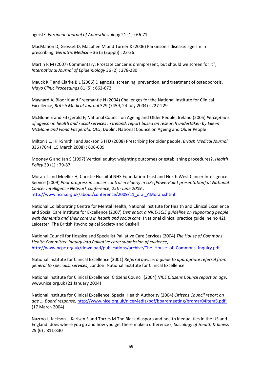ageist?, *European Journal of Anaesthesiology* 21 (1) : 66‐71

MacMahon D, Grosset D, Macphee M and Turner K (2006) Parkinson's disease: ageism in prescribing, *Geriatric Medicine* 36 (5 (Suppl)) : 23‐26

Martin R M (2007) Commentary: Prostate cancer is omnipresent, but should we screen for it?, *International Journal of Epidemiology* 36 (2) : 278‐280

Mauck K F and Clarke B L (2006) Diagnosis, screening, prevention, and treatment of osteoporosis, *Mayo Clinic Proceedings* 81 (5) : 662‐672

Maynard A, Bloor K and Freemantle N (2004) Challenges for the National Institute for Clinical Excellence, *British Medical Journal* 329 (7459, 24 July 2004) : 227‐229

McGlone E and Fitzgerald F; National Council on Ageing and Older People, Ireland (2005) *Perceptions of ageism in health and social services in Ireland: report based on research undertaken by Eileen McGlone and Fiona Fitzgerald, QE5*, Dublin: National Council on Ageing and Older People

Milton J C, Hill‐Smith I and Jackson S H D (2008) Prescribing for older people, *British Medical Journal* 336 (7644, 15 March 2008) : 606‐609

Mooney G and Jan S (1997) Vertical equity: weighting outcomes or establishing procedures?, *Health Policy* 39 (1) : 79‐87

Moran T and Moeller H; Christie Hospital NHS Foundation Trust and North West Cancer Intelligence Service (2009) *Poor progress in cancer control in elderly in UK: [PowerPoint presentation] at National Cancer Intelligence Network conference, 25th June 2009.*, http://www.ncin.org.uk/about/conference/2009/11\_oral\_AMoran.shtml

National Collaborating Centre for Mental Health, National Institute for Health and Clinical Excellence and Social Care Institute for Excellence (2007) *Dementia: a NICE‐SCIE guideline on supporting people with dementia and their carers in health and social care.* (National clinical practice guideline no 42), Leicester: The British Psychological Society and Gaskell

National Council for Hospice and Specialist Palliative Care Services (2004) *The House of Commons Health Committee Inquiry into Palliative care: submission of evidence*, http://www.ncpc.org.uk/download/publications/archive/The\_House\_of\_Commons\_Inquiry.pdf

National Institute for Clinical Excellence (2001) *Referral advice: a guide to appropriate referral from general to specialist services*, London: National Institute for Clinical Excellence

National Institute for Clinical Excellence. Citizens Council (2004) *NICE Citizens Council report on age*, www.nice.org.uk (21 January 2004)

National Institute for Clinical Excellence. Special Health Authority (2004) *Citizens Council report on age ... Board response*, http://www.nice.org.uk/niceMedia/pdf/boardmeeting/brdmar04item5.pdf. (17 March 2004)

Nazroo J, Jackson J, Karlsen S and Torres M The Black diaspora and health inequalities in the US and England: does where you go and how you get there make a difference?, *Sociology of Health & Illness* 29 (6) : 811‐830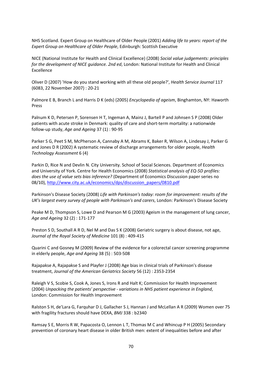NHS Scotland. Expert Group on Healthcare of Older People (2001) *Adding life to years: report of the Expert Group on Healthcare of Older People*, Edinburgh: Scottish Executive

NICE (National Institute for Health and Clinical Excellence) (2008) *Social value judgements: principles for the development of NICE guidance. 2nd ed*, London: National Institute for Health and Clinical Excellence

Oliver D (2007) 'How do you stand working with all these old people?', *Health Service Journal* 117 (6083, 22 November 2007) : 20‐21

Palmore E B, Branch L and Harris D K (eds) (2005) *Encyclopedia of ageism*, Binghamton, NY: Haworth Press

Palnum K D, Petersen P, Sorensen H T, Ingeman A, Mainz J, Bartell P and Johnsen S P (2008) Older patients with acute stroke in Denmark: quality of care and short‐term mortality: a nationwide follow‐up study, *Age and Ageing* 37 (1) : 90‐95

Parker S G, Peet S M, McPherson A, Cannaby A M, Abrams K, Baker R, Wilson A, Lindesay J, Parker G and Jones D R (2002) A systematic review of discharge arrangements for older people, *Health Technology Assessment* 6 (4)

Parkin D, Rice N and Devlin N. City University. School of Social Sciences. Department of Economics and University of York. Centre for Health Economics (2008) *Statistical analysis of EQ‐5D profiles: does the use of value sets bias inference?* (Department of Economics Discussion paper series no 08/10), http://www.city.ac.uk/economics/dps/discussion\_papers/0810.pdf

Parkinson's Disease Society (2008) *Life with Parkinson's today: room for improvement: results of the UK's largest every survey of people with Parkinson's and carers*, London: Parkinson's Disease Society

Peake M D, Thompson S, Lowe D and Pearson M G (2003) Ageism in the management of lung cancer, *Age and Ageing* 32 (2) : 171‐177

Preston S D, Southall A R D, Nel M and Das S K (2008) Geriatric surgery is about disease, not age, *Journal of the Royal Society of Medicine* 101 (8) : 409‐415

Quarini C and Gosney M (2009) Review of the evidence for a colorectal cancer screening programme in elderly people, *Age and Ageing* 38 (5) : 503‐508

Rajapakse A, Rajapakse S and Playfer J (2008) Age bias in clinical trials of Parkinson's disease treatment, *Journal of the American Geriatrics Society* 56 (12) : 2353‐2354

Raleigh V S, Scobie S, Cook A, Jones S, Irons R and Halt K; Commission for Health Improvement (2004) *Unpacking the patients' perspective ‐ variations in NHS patient experience in England*, London: Commission for Health Improvement

Ralston S H, de'Lara G, Farquhar D J, Gallacher S J, Hannan J and McLellan A R (2009) Women over 75 with fragility fractures should have DEXA, *BMJ* 338 : b2340

Ramsay S E, Morris R W, Papacosta O, Lennon L T, Thomas M C and Whincup P H (2005) Secondary prevention of coronary heart disease in older British men: extent of inequalities before and after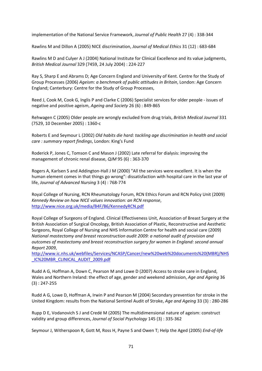implementation of the National Service Framework, *Journal of Public Health* 27 (4) : 338‐344

Rawlins M and Dillon A (2005) NICE discrimination, *Journal of Medical Ethics* 31 (12) : 683‐684

Rawlins M D and Culyer A J (2004) National Institute for Clinical Excellence and its value judgments, *British Medical Journal* 329 (7459, 24 July 2004) : 224‐227

Ray S, Sharp E and Abrams D; Age Concern England and University of Kent. Centre for the Study of Group Processes (2006) *Ageism: a benchmark of public attitudes in Britain*, London: Age Concern England; Canterbury: Centre for the Study of Group Processes,

Reed J, Cook M, Cook G, Inglis P and Clarke C (2006) Specialist services for older people ‐ issues of negative and positive ageism, *Ageing and Society* 26 (6) : 849‐865

Rehwagen C (2005) Older people are wrongly excluded from drug trials, *British Medical Journal* 331 (7529, 10 December 2005) : 1360‐c

Roberts E and Seymour L (2002) *Old habits die hard: tackling age discrimination in health and social care : summary report findings*, London: King's Fund

Roderick P, Jones C, Tomson C and Mason J (2002) Late referral for dialysis: improving the management of chronic renal disease, *QJM* 95 (6) : 363‐370

Rogers A, Karlsen S and Addington‐Hall J M (2000) "All the services were excellent. It is when the human element comes in that things go wrong": dissatisfaction with hospital care in the last year of life, *Journal of Advanced Nursing* 3 (4) : 768‐774

Royal College of Nursing, RCN Rheumatology Forum, RCN Ethics Forum and RCN Policy Unit (2009) *Kennedy Review on how NICE values innovation: an RCN response*, http://www.nice.org.uk/media/B4F/B6/KennedyRCN.pdf

Royal College of Surgeons of England. Clinical Effectiveness Unit, Association of Breast Surgery at the British Association of Surgical Oncology, British Association of Plastic, Reconstructive and Aesthetic Surgeons, Royal College of Nursing and NHS Information Centre for health and social care (2009) *National mastectomy and breast reconstruction audit 2009: a national audit of provision and outcomes of mastectomy and breast reconstruction surgery for women in England: second annual Report 2009*,

http://www.ic.nhs.uk/webfiles/Services/NCASP/Cancer/new%20web%20documents%20(MBR)/NHS \_IC%20MBR\_CLINICAL\_AUDIT\_2009.pdf

Rudd A G, Hoffman A, Down C, Pearson M and Lowe D (2007) Access to stroke care in England, Wales and Northern Ireland: the effect of age, gender and weekend admission, *Age and Ageing* 36 (3) : 247‐255

Rudd A G, Lowe D, Hoffman A, Irwin P and Pearson M (2004) Secondary prevention for stroke in the United Kingdom: results from the National Sentinel Audit of Stroke, *Age and Ageing* 33 (3) : 280‐286

Rupp D E, Vodanovich S J and Credé M (2005) The multidimensional nature of ageism: construct validity and group differences, *Journal of Social Psychology* 145 (3) : 335‐362

Seymour J, Witherspoon R, Gott M, Ross H, Payne S and Owen T; Help the Aged (2005) *End‐of‐life*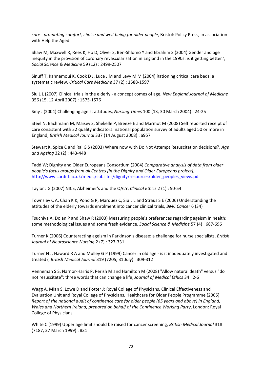*care ‐ promoting comfort, choice and well‐being for older people*, Bristol: Policy Press, in association with Help the Aged

Shaw M, Maxwell R, Rees K, Ho D, Oliver S, Ben‐Shlomo Y and Ebrahim S (2004) Gender and age inequity in the provision of coronary revascularisation in England in the 1990s: is it getting better?, *Social Science & Medicine* 59 (12) : 2499‐2507

Sinuff T, Kahnamoui K, Cook D J, Luce J M and Levy M M (2004) Rationing critical care beds: a systematic review, *Critical Care Medicine* 37 (2) : 1588‐1597

Siu L L (2007) Clinical trials in the elderly ‐ a concept comes of age, *New England Journal of Medicine* 356 (15, 12 April 2007) : 1575‐1576

Smy J (2004) Challenging ageist attitudes, *Nursing Times* 100 (13, 30 March 2004) : 24‐25

Steel N, Bachmann M, Maisey S, Shekelle P, Breeze E and Marmot M (2008) Self reported receipt of care consistent with 32 quality indicators: national population survey of adults aged 50 or more in England, *British Medical Journal* 337 (14 August 2008) : a957

Stewart K, Spice C and Rai G S (2003) Where now with Do Not Attempt Resuscitation decisions?, *Age and Ageing* 32 (2) : 443‐448

Tadd W; Dignity and Older Europeans Consortium (2004) *Comparative analysis of data from older people's focus groups from all Centres [in the Dignity and Older Europeans project]*, http://www.cardiff.ac.uk/medic/subsites/dignity/resources/older\_peoples\_views.pdf

Taylor J G (2007) NICE, Alzheimer's and the QALY, *Clinical Ethics* 2 (1) : 50‐54

Townsley C A, Chan K K, Pond G R, Marquez C, Siu L L and Straus S E (2006) Understanding the attitudes of the elderly towards enrolment into cancer clinical trials, *BMC Cancer* 6 (34)

Tsuchiya A, Dolan P and Shaw R (2003) Measuring people's preferences regarding ageism in health: some methodological issues and some fresh evidence, *Social Science & Medicine* 57 (4) : 687‐696

Turner K (2006) Counteracting ageism in Parkinson's disease: a challenge for nurse specialists, *British Journal of Neuroscience Nursing* 2 (7) : 327‐331

Turner N J, Haward R A and Mulley G P (1999) Cancer in old age ‐ is it inadequately investigated and treated?, *British Medical Journal* 319 (7205, 31 July) : 309‐312

Venneman S S, Narnor‐Harris P, Perish M and Hamilton M (2008) "Allow natural death" versus "do not resuscitate": three words that can change a life, *Journal of Medical Ethics* 34 : 2‐6

Wagg A, Mian S, Lowe D and Potter J; Royal College of Physicians. Clinical Effectiveness and Evaluation Unit and Royal College of Physicians, Healthcare for Older People Programme (2005) *Report of the national audit of continence care for older people (65 years and above) in England, Wales and Northern Ireland; prepared on behalf of the Continence Working Party*, London: Royal College of Physicians

White C (1999) Upper age limit should be raised for cancer screening, *British Medical Journal* 318 (7187, 27 March 1999) : 831